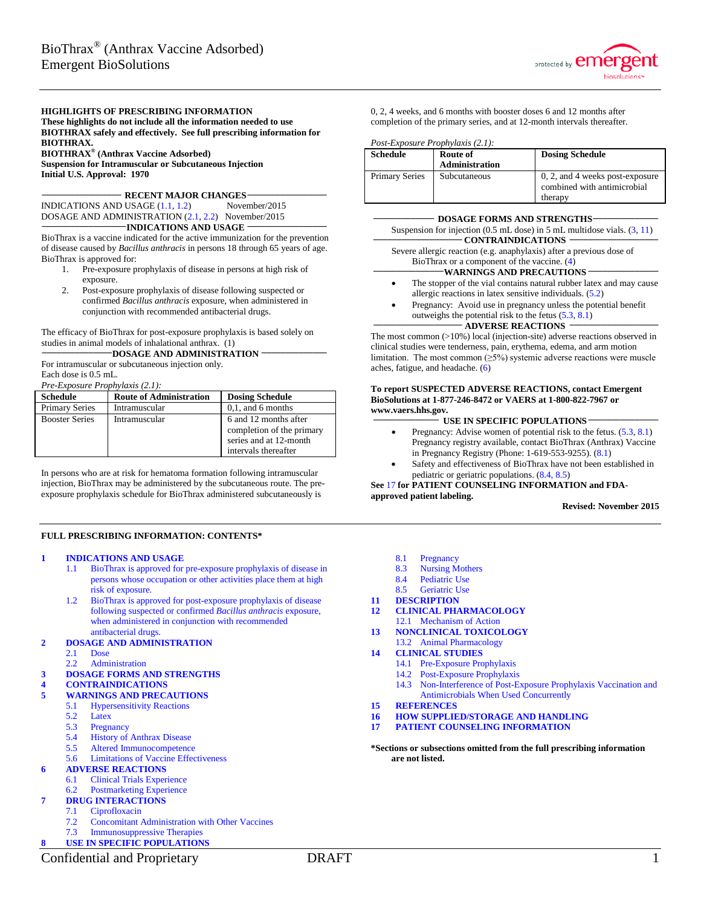

#### **HIGHLIGHTS OF PRESCRIBING INFORMATION**

**These highlights do not include all the information needed to use BIOTHRAX safely and effectively. See full prescribing information for BIOTHRAX.**

**BIOTHRAX® (Anthrax Vaccine Adsorbed) Suspension for Intramuscular or Subcutaneous Injection Initial U.S. Approval: 1970**

**\_\_\_\_\_\_\_\_\_\_\_\_\_\_\_\_\_ RECENT MAJOR CHANGES\_\_\_\_\_\_\_\_\_\_\_\_\_\_\_\_\_**

INDICATIONS AND USAGE  $(1.1, 1.2)$  $(1.1, 1.2)$  November/2015 DOSAGE AND ADMINISTRATION [\(2.1,](#page-1-2) [2.2\)](#page-2-0) November/2015<br> **\_\_\_\_\_\_\_\_\_\_\_\_\_\_\_\_\_\_\_\_\_\_\_\_INDICATIONS AND USAGE** 

BioThrax is a vaccine indicated for the active immunization for the prevention of disease caused by *Bacillus anthracis* in persons 18 through 65 years of age. BioThrax is approved for:

- 1. Pre-exposure prophylaxis of disease in persons at high risk of exposure.
- 2. Post-exposure prophylaxis of disease following suspected or confirmed *Bacillus anthracis* exposure, when administered in conjunction with recommended antibacterial drugs.

The efficacy of BioThrax for post-exposure prophylaxis is based solely on studies in animal models of inhalational anthrax. (1)<br> **\_\_\_\_\_\_\_\_\_\_\_\_\_\_\_DOSAGE AND ADMINISTRATION** 

For intramuscular or subcutaneous injection only. Each dose is 0.5 mL.

*Pre-Exposure Prophylaxis (2.1):*

| <b>Schedule</b>       | <b>Route of Administration</b> | <b>Dosing Schedule</b>                                                                               |
|-----------------------|--------------------------------|------------------------------------------------------------------------------------------------------|
| <b>Primary Series</b> | Intramuscular                  | $0,1$ , and 6 months                                                                                 |
| <b>Booster Series</b> | Intramuscular                  | 6 and 12 months after<br>completion of the primary<br>series and at 12-month<br>intervals thereafter |

In persons who are at risk for hematoma formation following intramuscular injection, BioThrax may be administered by the subcutaneous route. The preexposure prophylaxis schedule for BioThrax administered subcutaneously is

#### **FULL PRESCRIBING INFORMATION: CONTENTS\***

#### **1 [INDICATIONS AND USAGE](#page-1-3)**

- 1.1 [BioThrax is approved for pre-exposure prophylaxis of disease in](#page-1-0)  [persons whose occupation or other activities place them at high](#page-1-0)  [risk of exposure.](#page-1-0)
- 1.2 [BioThrax is approved for post-exposure prophylaxis of disease](#page-1-1)  [following suspected or confirmed](#page-1-1) *Bacillus anthracis* exposure, [when administered in conjunction with recommended](#page-1-1)  [antibacterial drugs.](#page-1-1)

#### **2 [DOSAGE AND ADMINISTRATION](#page-1-4)**

- 2.1 [Dose](#page-1-2)
- 2.2 [Administration](#page-2-0)

### **3 [DOSAGE FORMS AND STRENGTHS](#page-2-1)**

- **4 [CONTRAINDICATIONS](#page-2-2)**
	- **5 [WARNINGS AND PRECAUTIONS](#page-3-2)**
	- 5.1 [Hypersensitivity Reactions](#page-3-3)
	- 5.2 [Latex](#page-3-0)
	- 5.3 [Pregnancy](#page-3-1)
	- 5.4 [History of Anthrax Disease](#page-3-4)<br>5.5 Altered Immunocompetence
	- 5.5 [Altered Immunocompetence](#page-3-5)
	- 5.6 [Limitations of Vaccine Effectiveness](#page-4-1)

### **6 [ADVERSE REACTIONS](#page-4-0)**

- 6.1 [Clinical Trials Experience](#page-4-2)
- 6.2 [Postmarketing Experience](#page-10-0)

### **7 [DRUG INTERACTIONS](#page-11-0)**

- 7.1 [Ciprofloxacin](#page-11-1)
- 7.2 [Concomitant Administration with Other Vaccines](#page-11-2)
- 7.3 [Immunosuppressive Therapies](#page-11-3) **8 [USE IN SPECIFIC POPULATIONS](#page-12-4)**

0, 2, 4 weeks, and 6 months with booster doses 6 and 12 months after completion of the primary series, and at 12-month intervals thereafter.

*Post-Exposure Prophylaxis (2.1):*

| <b>Schedule</b>       | Route of<br><b>Administration</b> | <b>Dosing Schedule</b>                                         |
|-----------------------|-----------------------------------|----------------------------------------------------------------|
| <b>Primary Series</b> | <b>Subcutaneous</b>               | 0, 2, and 4 weeks post-exposure<br>combined with antimicrobial |
|                       |                                   | therapy                                                        |

| <b>DOSAGE FORMS AND STRENGTHS-</b>                                                  |
|-------------------------------------------------------------------------------------|
| Suspension for injection $(0.5 \text{ mL dose})$ in 5 mL multidose vials. $(3, 11)$ |
| <b>CONTRAINDICATIONS</b>                                                            |
| Severe allergic reaction (e.g. anaphylaxis) after a previous dose of                |
| BioThrax or a component of the vaccine. $(4)$                                       |
| <b>WARNINGS AND PRECAUTIONS</b>                                                     |
| The stopper of the vial contains natural rubber latex and may cause                 |
| allergic reactions in latex sensitive individuals. $(5.2)$                          |
| Pregnancy: Avoid use in pregnancy unless the potential benefit                      |
| outweighs the potential risk to the fetus $(5.3, 8.1)$                              |
| <b>ADVERSE REACTIONS</b>                                                            |

The most common (>10%) local (injection-site) adverse reactions observed in clinical studies were tenderness, pain, erythema, edema, and arm motion limitation. The most common  $(\geq 5\%)$  systemic adverse reactions were muscle aches, fatigue, and headache. [\(6\)](#page-4-0)

#### **To report SUSPECTED ADVERSE REACTIONS, contact Emergent BioSolutions at 1-877-246-8472 or VAERS at 1-800-822-7967 or www.vaers.hhs.gov.**

#### **\_\_\_\_\_\_\_\_\_\_\_\_\_\_ USE IN SPECIFIC POPULATIONS \_\_\_\_\_\_\_\_\_\_\_\_\_\_\_**

- Pregnancy: Advise women of potential risk to the fetus.  $(5.3, 8.1)$  $(5.3, 8.1)$ Pregnancy registry available, contact BioThrax (Anthrax) Vaccine in Pregnancy Registry (Phone: 1-619-553-9255). [\(8.1\)](#page-12-1)
- Safety and effectiveness of BioThrax have not been established in pediatric or geriatric populations. [\(8.4,](#page-12-2) [8.5\)](#page-12-3)

### **See** [17](#page-21-0) **for PATIENT COUNSELING INFORMATION and FDA-**

**approved patient labeling.**

#### **Revised: November 2015**

- 8.1 [Pregnancy](#page-12-1)<br>8.3 Nursing M
- **[Nursing Mothers](#page-12-5)**
- 8.4 [Pediatric Use](#page-12-2)
- 8.5 [Geriatric Use](#page-12-3)
- **11 [DESCRIPTION](#page-12-0)**
- **12 [CLINICAL PHARMACOLOGY](#page-13-0)** 12.1 [Mechanism of Action](#page-13-1)
- **13 [NONCLINICAL TOXICOLOGY](#page-13-2)**

#### 13.2 [Animal Pharmacology](#page-13-3) **14 [CLINICAL STUDIES](#page-14-0)**

- 14.1 [Pre-Exposure Prophylaxis](#page-14-1)
- 14.2 [Post-Exposure Prophylaxis](#page-19-0)
- 14.3 [Non-Interference of Post-Exposure Prophylaxis Vaccination and](#page-20-0)  [Antimicrobials When Used Concurrently](#page-20-0)
- 
- **15 [REFERENCES](#page-20-1) 16 [HOW SUPPLIED/STORAGE](#page-20-2) AND HANDLING**
- **17 [PATIENT COUNSELING INFORMATION](#page-21-0)**

**\*Sections or subsections omitted from the full prescribing information are not listed.**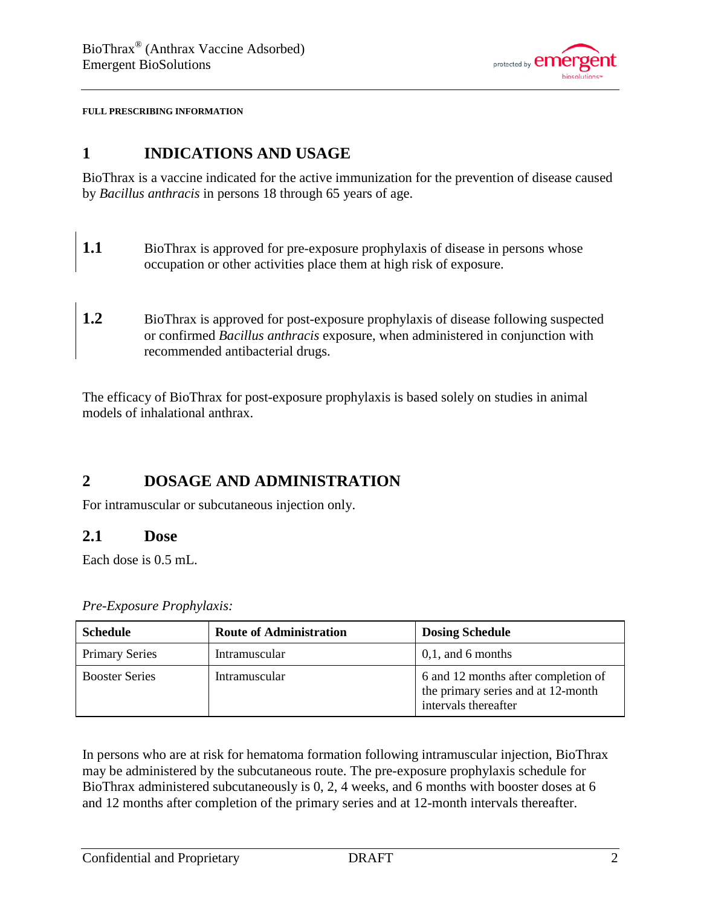

<span id="page-1-3"></span>**FULL PRESCRIBING INFORMATION**

# **1 INDICATIONS AND USAGE**

BioThrax is a vaccine indicated for the active immunization for the prevention of disease caused by *Bacillus anthracis* in persons 18 through 65 years of age.

- <span id="page-1-0"></span>**1.1** BioThrax is approved for pre-exposure prophylaxis of disease in persons whose occupation or other activities place them at high risk of exposure.
- <span id="page-1-1"></span>**1.2** BioThrax is approved for post-exposure prophylaxis of disease following suspected or confirmed *Bacillus anthracis* exposure, when administered in conjunction with recommended antibacterial drugs.

The efficacy of BioThrax for post-exposure prophylaxis is based solely on studies in animal models of inhalational anthrax.

# <span id="page-1-4"></span>**2 DOSAGE AND ADMINISTRATION**

For intramuscular or subcutaneous injection only.

### <span id="page-1-2"></span>**2.1 Dose**

Each dose is 0.5 mL.

| <b>Schedule</b>       | <b>Route of Administration</b> | <b>Dosing Schedule</b>                                                                            |
|-----------------------|--------------------------------|---------------------------------------------------------------------------------------------------|
| <b>Primary Series</b> | Intramuscular                  | $0,1$ , and 6 months                                                                              |
| <b>Booster Series</b> | Intramuscular                  | 6 and 12 months after completion of<br>the primary series and at 12-month<br>intervals thereafter |

*Pre-Exposure Prophylaxis:*

In persons who are at risk for hematoma formation following intramuscular injection, BioThrax may be administered by the subcutaneous route. The pre-exposure prophylaxis schedule for BioThrax administered subcutaneously is 0, 2, 4 weeks, and 6 months with booster doses at 6 and 12 months after completion of the primary series and at 12-month intervals thereafter.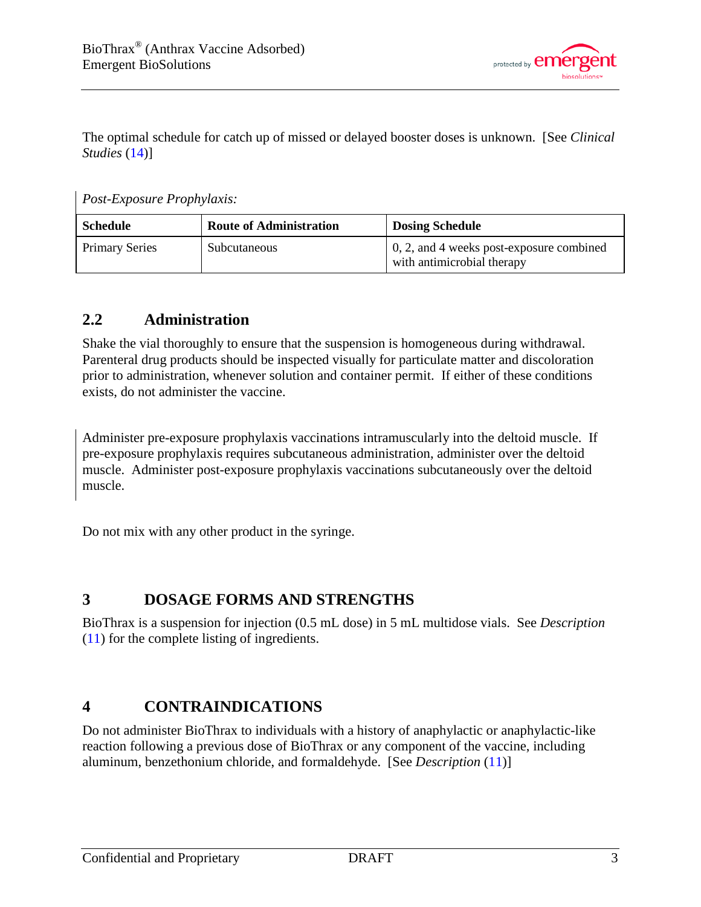

The optimal schedule for catch up of missed or delayed booster doses is unknown. [See *Clinical Studies* [\(14\)](#page-14-0)]

*Post-Exposure Prophylaxis:*

| <b>Schedule</b>       | <b>Route of Administration</b> | <b>Dosing Schedule</b>                                                 |
|-----------------------|--------------------------------|------------------------------------------------------------------------|
| <b>Primary Series</b> | Subcutaneous                   | 0, 2, and 4 weeks post-exposure combined<br>with antimicrobial therapy |

# <span id="page-2-0"></span>**2.2 Administration**

Shake the vial thoroughly to ensure that the suspension is homogeneous during withdrawal. Parenteral drug products should be inspected visually for particulate matter and discoloration prior to administration, whenever solution and container permit. If either of these conditions exists, do not administer the vaccine.

Administer pre-exposure prophylaxis vaccinations intramuscularly into the deltoid muscle. If pre-exposure prophylaxis requires subcutaneous administration, administer over the deltoid muscle. Administer post-exposure prophylaxis vaccinations subcutaneously over the deltoid muscle.

Do not mix with any other product in the syringe.

# <span id="page-2-1"></span>**3 DOSAGE FORMS AND STRENGTHS**

BioThrax is a suspension for injection (0.5 mL dose) in 5 mL multidose vials. See *Description*  [\(11\)](#page-12-0) for the complete listing of ingredients.

# <span id="page-2-2"></span>**4 CONTRAINDICATIONS**

Do not administer BioThrax to individuals with a history of anaphylactic or anaphylactic-like reaction following a previous dose of BioThrax or any component of the vaccine, including aluminum, benzethonium chloride, and formaldehyde. [See *Description* [\(11\)](#page-12-0)]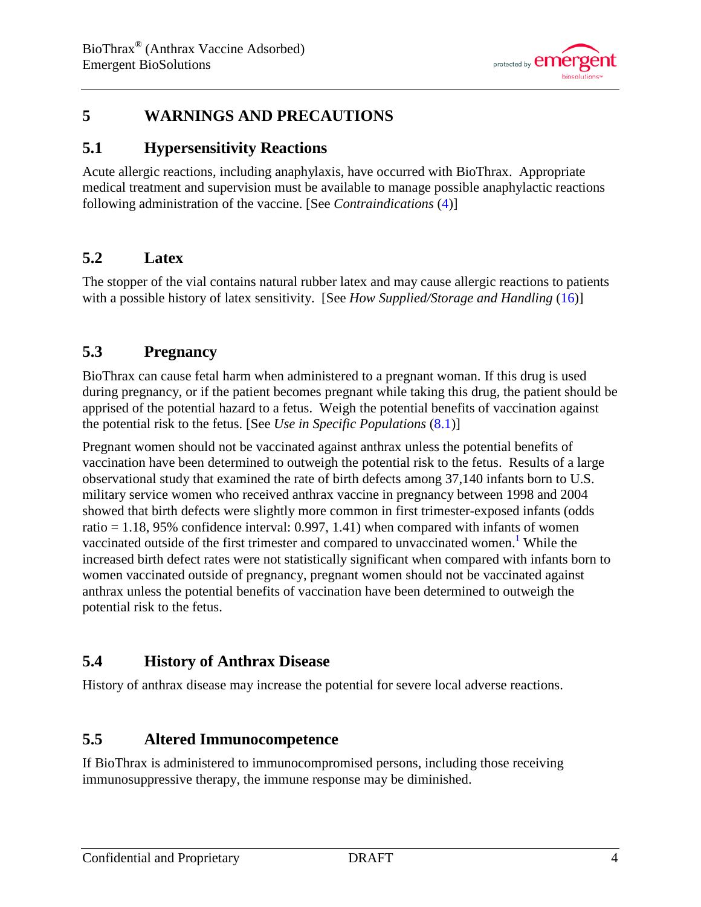

# <span id="page-3-2"></span>**5 WARNINGS AND PRECAUTIONS**

## <span id="page-3-3"></span>**5.1 Hypersensitivity Reactions**

Acute allergic reactions, including anaphylaxis, have occurred with BioThrax. Appropriate medical treatment and supervision must be available to manage possible anaphylactic reactions following administration of the vaccine. [See *Contraindications* [\(4\)](#page-2-2)]

# <span id="page-3-0"></span>**5.2 Latex**

The stopper of the vial contains natural rubber latex and may cause allergic reactions to patients with a possible history of latex sensitivity. [See *How Supplied/Storage and Handling* [\(16\)](#page-20-2)]

# <span id="page-3-1"></span>**5.3 Pregnancy**

BioThrax can cause fetal harm when administered to a pregnant woman. If this drug is used during pregnancy, or if the patient becomes pregnant while taking this drug, the patient should be apprised of the potential hazard to a fetus. Weigh the potential benefits of vaccination against the potential risk to the fetus. [See *Use in Specific Populations* [\(8.1\)](#page-12-1)]

Pregnant women should not be vaccinated against anthrax unless the potential benefits of vaccination have been determined to outweigh the potential risk to the fetus. Results of a large observational study that examined the rate of birth defects among 37,140 infants born to U.S. military service women who received anthrax vaccine in pregnancy between 1998 and 2004 showed that birth defects were slightly more common in first trimester-exposed infants (odds ratio  $= 1.18$ , 95% confidence interval: 0.997, 1.41) when compared with infants of women vaccinated outside of the first trimester and compared to unvaccinated women.<sup>1</sup> While the increased birth defect rates were not statistically significant when compared with infants born to women vaccinated outside of pregnancy, pregnant women should not be vaccinated against anthrax unless the potential benefits of vaccination have been determined to outweigh the potential risk to the fetus.

# <span id="page-3-4"></span>**5.4 History of Anthrax Disease**

History of anthrax disease may increase the potential for severe local adverse reactions.

# <span id="page-3-5"></span>**5.5 Altered Immunocompetence**

If BioThrax is administered to immunocompromised persons, including those receiving immunosuppressive therapy, the immune response may be diminished.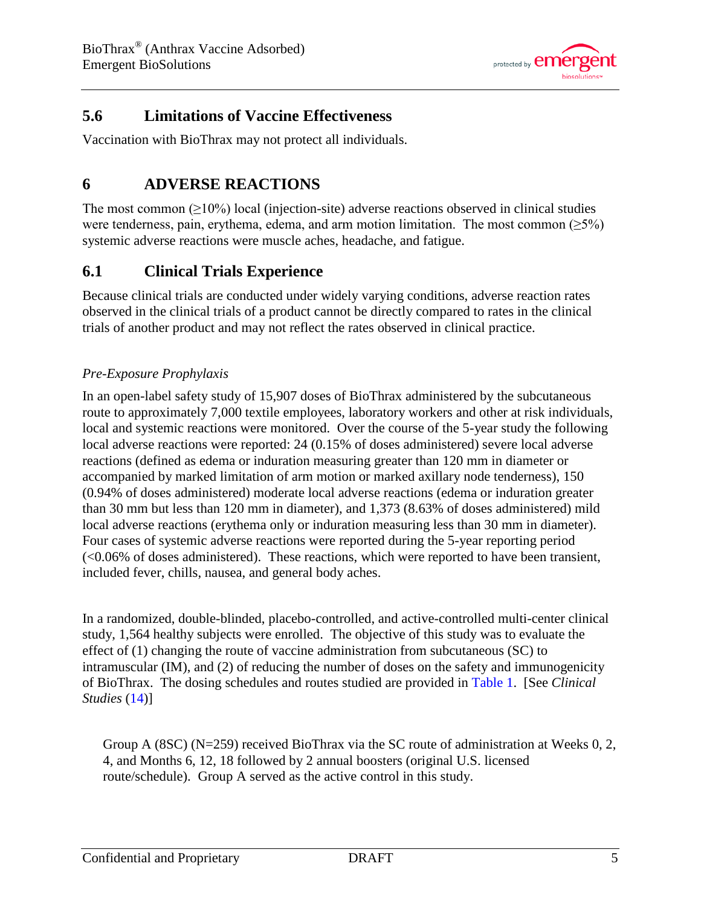

# <span id="page-4-1"></span>**5.6 Limitations of Vaccine Effectiveness**

<span id="page-4-0"></span>Vaccination with BioThrax may not protect all individuals.

# **6 ADVERSE REACTIONS**

The most common  $(\geq 10\%)$  local (injection-site) adverse reactions observed in clinical studies were tenderness, pain, erythema, edema, and arm motion limitation. The most common  $(\geq 5\%)$ systemic adverse reactions were muscle aches, headache, and fatigue.

# <span id="page-4-2"></span>**6.1 Clinical Trials Experience**

Because clinical trials are conducted under widely varying conditions, adverse reaction rates observed in the clinical trials of a product cannot be directly compared to rates in the clinical trials of another product and may not reflect the rates observed in clinical practice.

### *Pre-Exposure Prophylaxis*

In an open-label safety study of 15,907 doses of BioThrax administered by the subcutaneous route to approximately 7,000 textile employees, laboratory workers and other at risk individuals, local and systemic reactions were monitored. Over the course of the 5-year study the following local adverse reactions were reported: 24 (0.15% of doses administered) severe local adverse reactions (defined as edema or induration measuring greater than 120 mm in diameter or accompanied by marked limitation of arm motion or marked axillary node tenderness), 150 (0.94% of doses administered) moderate local adverse reactions (edema or induration greater than 30 mm but less than 120 mm in diameter), and 1,373 (8.63% of doses administered) mild local adverse reactions (erythema only or induration measuring less than 30 mm in diameter). Four cases of systemic adverse reactions were reported during the 5-year reporting period (<0.06% of doses administered). These reactions, which were reported to have been transient, included fever, chills, nausea, and general body aches.

In a randomized, double-blinded, placebo-controlled, and active-controlled multi-center clinical study, 1,564 healthy subjects were enrolled. The objective of this study was to evaluate the effect of (1) changing the route of vaccine administration from subcutaneous (SC) to intramuscular (IM), and (2) of reducing the number of doses on the safety and immunogenicity of BioThrax. The dosing schedules and routes studied are provided in [Table 1.](#page-5-0) [See *Clinical Studies* [\(14\)](#page-14-0)]

Group A (8SC) ( $N=259$ ) received BioThrax via the SC route of administration at Weeks 0, 2, 4, and Months 6, 12, 18 followed by 2 annual boosters (original U.S. licensed route/schedule). Group A served as the active control in this study.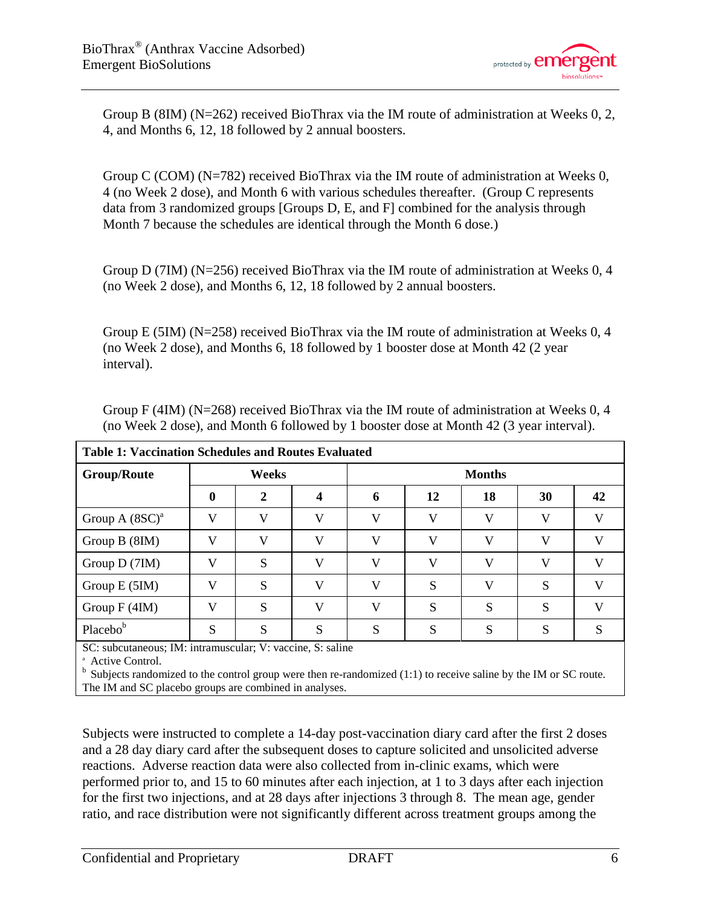

Group B (8IM) (N=262) received BioThrax via the IM route of administration at Weeks 0, 2, 4, and Months 6, 12, 18 followed by 2 annual boosters.

Group C (COM) (N=782) received BioThrax via the IM route of administration at Weeks 0, 4 (no Week 2 dose), and Month 6 with various schedules thereafter. (Group C represents data from 3 randomized groups [Groups D, E, and F] combined for the analysis through Month 7 because the schedules are identical through the Month 6 dose.)

Group D (7IM) (N=256) received BioThrax via the IM route of administration at Weeks 0, 4 (no Week 2 dose), and Months 6, 12, 18 followed by 2 annual boosters.

Group E (5IM) ( $N=258$ ) received BioThrax via the IM route of administration at Weeks 0, 4 (no Week 2 dose), and Months 6, 18 followed by 1 booster dose at Month 42 (2 year interval).

<span id="page-5-0"></span>

| <b>Group/Route</b> |              | Weeks |              | <b>Months</b> |              |    |    |    |  |  |  |
|--------------------|--------------|-------|--------------|---------------|--------------|----|----|----|--|--|--|
|                    | 0            | 2     |              | 6             | 12           | 18 | 30 | 42 |  |  |  |
| Group A $(8SC)^a$  | V            | V     | V            | $\bf{V}$      | V            | V  | V  | V  |  |  |  |
| Group B (8IM)      | $\mathbf{V}$ | V     | $\mathbf{V}$ | <b>T</b> 7    | $\mathbf{V}$ | V  | V  | V  |  |  |  |
| Group D (7IM)      | $\mathbf{V}$ | S     | $\mathbf{V}$ | $\mathbf{V}$  | V            | V  | V  | V  |  |  |  |
| Group E (5IM)      | $\mathbf{V}$ | S     | $\mathbf{V}$ | $\mathbf{V}$  | S            | V  | S  | V  |  |  |  |
| Group $F(4IM)$     | V            | S     | V            | $\mathbf{V}$  | S            | S  | S  | V  |  |  |  |
| Placebob           | S            | S     | S            | S             | S            | S  | S  | S  |  |  |  |

Group F (4IM) (N=268) received BioThrax via the IM route of administration at Weeks 0, 4 (no Week 2 dose), and Month 6 followed by 1 booster dose at Month 42 (3 year interval).

SC: subcutaneous; IM: intramuscular; V: vaccine, S: saline

<sup>a</sup> Active Control.<br><sup>b</sup> Subjects randomized to the control group were then re-randomized (1:1) to receive saline by the IM or SC route. The IM and SC placebo groups are combined in analyses.

Subjects were instructed to complete a 14-day post-vaccination diary card after the first 2 doses and a 28 day diary card after the subsequent doses to capture solicited and unsolicited adverse reactions. Adverse reaction data were also collected from in-clinic exams, which were performed prior to, and 15 to 60 minutes after each injection, at 1 to 3 days after each injection for the first two injections, and at 28 days after injections 3 through 8. The mean age, gender ratio, and race distribution were not significantly different across treatment groups among the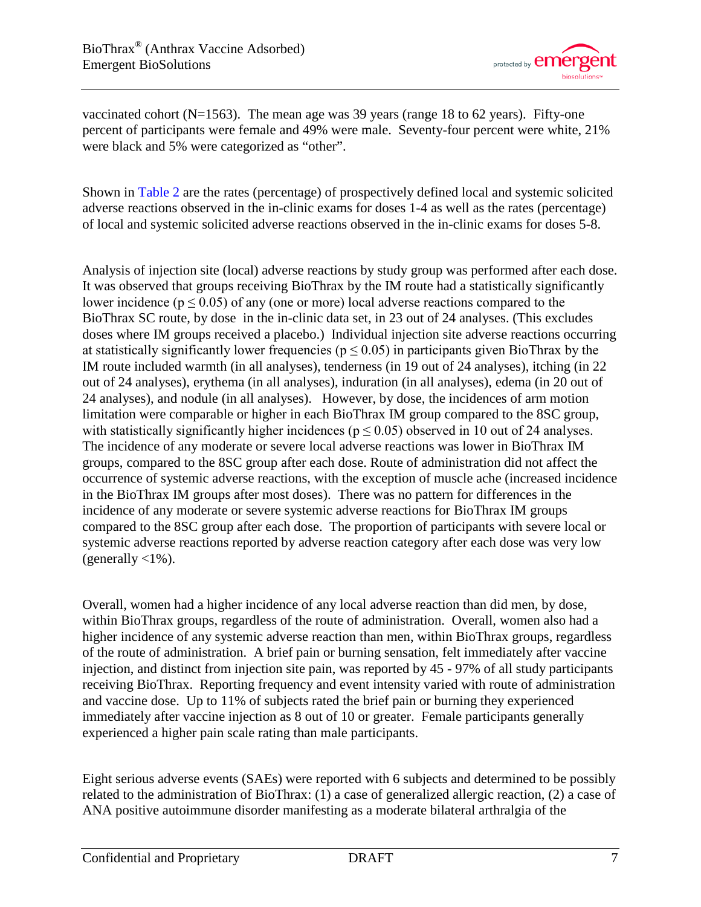

vaccinated cohort ( $N=1563$ ). The mean age was 39 years (range 18 to 62 years). Fifty-one percent of participants were female and 49% were male. Seventy-four percent were white, 21% were black and 5% were categorized as "other".

Shown in [Table](#page-8-0) 2 are the rates (percentage) of prospectively defined local and systemic solicited adverse reactions observed in the in-clinic exams for doses 1-4 as well as the rates (percentage) of local and systemic solicited adverse reactions observed in the in-clinic exams for doses 5-8.

Analysis of injection site (local) adverse reactions by study group was performed after each dose. It was observed that groups receiving BioThrax by the IM route had a statistically significantly lower incidence ( $p \le 0.05$ ) of any (one or more) local adverse reactions compared to the BioThrax SC route, by dose in the in-clinic data set, in 23 out of 24 analyses. (This excludes doses where IM groups received a placebo.) Individual injection site adverse reactions occurring at statistically significantly lower frequencies ( $p \le 0.05$ ) in participants given BioThrax by the IM route included warmth (in all analyses), tenderness (in 19 out of 24 analyses), itching (in 22 out of 24 analyses), erythema (in all analyses), induration (in all analyses), edema (in 20 out of 24 analyses), and nodule (in all analyses). However, by dose, the incidences of arm motion limitation were comparable or higher in each BioThrax IM group compared to the 8SC group, with statistically significantly higher incidences ( $p \le 0.05$ ) observed in 10 out of 24 analyses. The incidence of any moderate or severe local adverse reactions was lower in BioThrax IM groups, compared to the 8SC group after each dose. Route of administration did not affect the occurrence of systemic adverse reactions, with the exception of muscle ache (increased incidence in the BioThrax IM groups after most doses). There was no pattern for differences in the incidence of any moderate or severe systemic adverse reactions for BioThrax IM groups compared to the 8SC group after each dose. The proportion of participants with severe local or systemic adverse reactions reported by adverse reaction category after each dose was very low (generally  $\langle 1\% \rangle$ .

Overall, women had a higher incidence of any local adverse reaction than did men, by dose, within BioThrax groups, regardless of the route of administration. Overall, women also had a higher incidence of any systemic adverse reaction than men, within BioThrax groups, regardless of the route of administration. A brief pain or burning sensation, felt immediately after vaccine injection, and distinct from injection site pain, was reported by 45 - 97% of all study participants receiving BioThrax. Reporting frequency and event intensity varied with route of administration and vaccine dose. Up to 11% of subjects rated the brief pain or burning they experienced immediately after vaccine injection as 8 out of 10 or greater. Female participants generally experienced a higher pain scale rating than male participants.

Eight serious adverse events (SAEs) were reported with 6 subjects and determined to be possibly related to the administration of BioThrax: (1) a case of generalized allergic reaction, (2) a case of ANA positive autoimmune disorder manifesting as a moderate bilateral arthralgia of the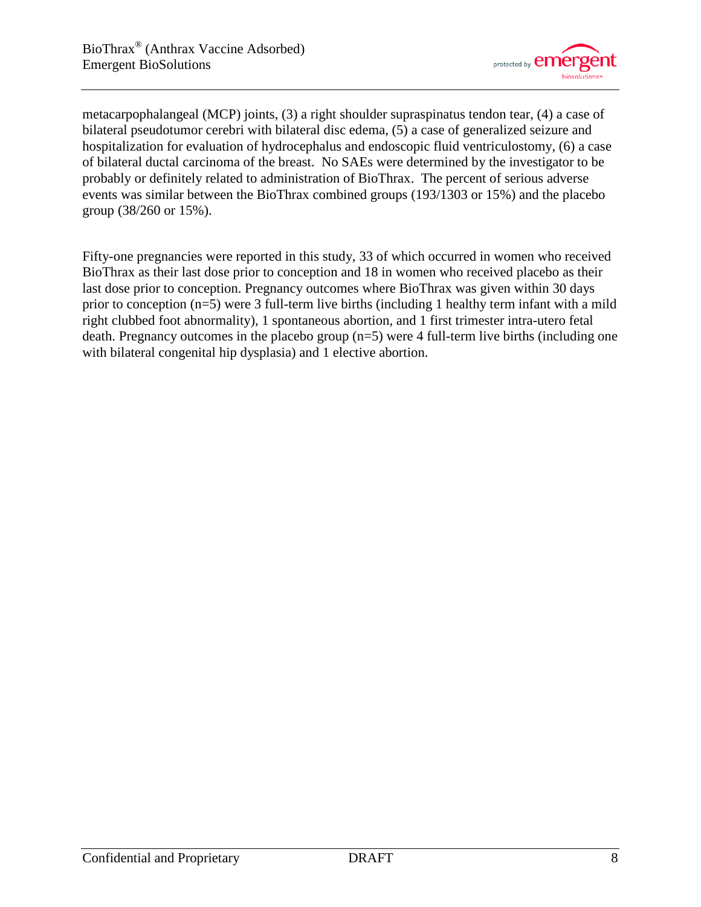

metacarpophalangeal (MCP) joints, (3) a right shoulder supraspinatus tendon tear, (4) a case of bilateral pseudotumor cerebri with bilateral disc edema, (5) a case of generalized seizure and hospitalization for evaluation of hydrocephalus and endoscopic fluid ventriculostomy, (6) a case of bilateral ductal carcinoma of the breast. No SAEs were determined by the investigator to be probably or definitely related to administration of BioThrax. The percent of serious adverse events was similar between the BioThrax combined groups (193/1303 or 15%) and the placebo group (38/260 or 15%).

Fifty-one pregnancies were reported in this study, 33 of which occurred in women who received BioThrax as their last dose prior to conception and 18 in women who received placebo as their last dose prior to conception. Pregnancy outcomes where BioThrax was given within 30 days prior to conception (n=5) were 3 full-term live births (including 1 healthy term infant with a mild right clubbed foot abnormality), 1 spontaneous abortion, and 1 first trimester intra-utero fetal death. Pregnancy outcomes in the placebo group (n=5) were 4 full-term live births (including one with bilateral congenital hip dysplasia) and 1 elective abortion.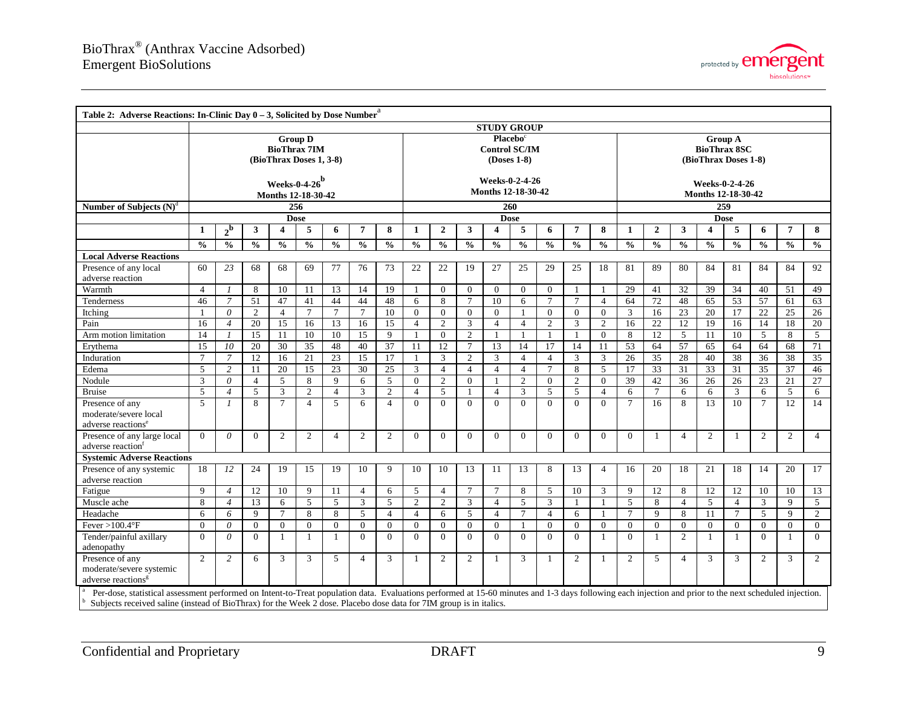

<span id="page-8-0"></span>

| Table 2: Adverse Reactions: In-Clinic Day $0 - 3$ , Solicited by Dose Number <sup>a</sup>                                                                                                              |                                        |                |                |                 |                                                                  |                |                 |                |                |                                                             |                  |                |                |                                                               |                |                |                |                 |                 |               |                 |                |                 |                |
|--------------------------------------------------------------------------------------------------------------------------------------------------------------------------------------------------------|----------------------------------------|----------------|----------------|-----------------|------------------------------------------------------------------|----------------|-----------------|----------------|----------------|-------------------------------------------------------------|------------------|----------------|----------------|---------------------------------------------------------------|----------------|----------------|----------------|-----------------|-----------------|---------------|-----------------|----------------|-----------------|----------------|
|                                                                                                                                                                                                        | <b>STUDY GROUP</b>                     |                |                |                 |                                                                  |                |                 |                |                |                                                             |                  |                |                |                                                               |                |                |                |                 |                 |               |                 |                |                 |                |
|                                                                                                                                                                                                        |                                        |                |                |                 | <b>Group D</b><br><b>BioThrax 7IM</b><br>(BioThrax Doses 1, 3-8) |                |                 |                |                | Placebo <sup>c</sup><br><b>Control SC/IM</b><br>(Doses 1-8) |                  |                |                | <b>Group A</b><br><b>BioThrax 8SC</b><br>(BioThrax Doses 1-8) |                |                |                |                 |                 |               |                 |                |                 |                |
|                                                                                                                                                                                                        | Weeks-0-4-26 $b$<br>Months 12-18-30-42 |                |                |                 |                                                                  |                |                 |                |                | Weeks-0-2-4-26<br>Months 12-18-30-42                        |                  |                |                | <b>Weeks-0-2-4-26</b><br>Months 12-18-30-42                   |                |                |                |                 |                 |               |                 |                |                 |                |
| Number of Subjects $(N)^d$                                                                                                                                                                             |                                        |                |                |                 | 256                                                              |                |                 |                |                |                                                             |                  |                | 260            |                                                               |                |                |                |                 |                 |               | 259             |                |                 |                |
|                                                                                                                                                                                                        |                                        |                |                |                 | <b>Dose</b>                                                      |                |                 |                |                |                                                             |                  |                | <b>Dose</b>    |                                                               |                |                |                |                 |                 |               | <b>Dose</b>     |                |                 |                |
|                                                                                                                                                                                                        | $\mathbf{1}$                           | $2^{\rm b}$    | 3              | 4               | 5                                                                | 6              | $\overline{7}$  | 8              | 1              | $\overline{2}$                                              | 3                | 4              | 5              | 6                                                             | 7              | 8              | 1              | $\mathbf{2}$    | 3               | 4             | 5               | 6              | 7               | 8              |
|                                                                                                                                                                                                        | $\frac{0}{0}$                          | $\frac{0}{0}$  | $\frac{0}{0}$  | $\frac{0}{0}$   | $\frac{0}{0}$                                                    | $\frac{0}{0}$  | $\frac{0}{0}$   | $\frac{0}{0}$  | $\frac{0}{0}$  | $\mathbf{0}_{\mathbf{0}}^{\prime}$                          | $\frac{0}{0}$    | $\frac{0}{0}$  | $\frac{0}{0}$  | $\frac{0}{0}$                                                 | $\frac{0}{0}$  | $\frac{0}{0}$  | $\frac{0}{0}$  | $\frac{0}{0}$   | $\frac{0}{0}$   | $\frac{0}{0}$ | $\frac{0}{0}$   | $\frac{0}{0}$  | $\frac{0}{0}$   | $\frac{0}{0}$  |
| <b>Local Adverse Reactions</b>                                                                                                                                                                         |                                        |                |                |                 |                                                                  |                |                 |                |                |                                                             |                  |                |                |                                                               |                |                |                |                 |                 |               |                 |                |                 |                |
| Presence of any local                                                                                                                                                                                  | 60                                     | 23             | 68             | 68              | 69                                                               | 77             | 76              | 73             | 22             | 22                                                          | 19               | 27             | 25             | 29                                                            | 25             | 18             | 81             | 89              | 80              | 84            | 81              | 84             | 84              | 92             |
| adverse reaction                                                                                                                                                                                       |                                        |                |                |                 |                                                                  |                |                 |                |                |                                                             |                  |                |                |                                                               |                |                |                |                 |                 |               |                 |                |                 |                |
| Warmth                                                                                                                                                                                                 | $\overline{4}$                         | $\mathcal{I}$  | 8              | 10              | 11                                                               | 13             | 14              | 19             |                | $\mathbf{0}$                                                | $\overline{0}$   | $\mathbf{0}$   | $\overline{0}$ | $\mathbf{0}$                                                  |                | $\overline{1}$ | 29             | 41              | 32              | 39            | 34              | 40             | 51              | 49             |
| Tenderness                                                                                                                                                                                             | 46                                     | $\overline{7}$ | 51             | 47              | 41                                                               | 44             | 44              | 48             | 6              | 8                                                           | $\tau$           | 10             | 6              | $\tau$                                                        | $\tau$         | $\overline{4}$ | 64             | 72              | 48              | 65            | 53              | 57             | 61              | 63             |
| Itching                                                                                                                                                                                                | $\overline{1}$                         | $\theta$       | $\overline{2}$ | $\overline{4}$  | $\overline{7}$                                                   | $\overline{7}$ | $7\phantom{.0}$ | 10             | $\Omega$       | $\theta$                                                    | $\overline{0}$   | $\Omega$       | $\overline{1}$ | $\overline{0}$                                                | $\Omega$       | $\mathbf{0}$   | $\overline{3}$ | 16              | $\overline{23}$ | 20            | $\overline{17}$ | 22             | $\overline{25}$ | 26             |
| Pain                                                                                                                                                                                                   | 16                                     | $\overline{4}$ | 20             | 15              | 16                                                               | 13             | 16              | 15             | $\overline{4}$ | $\overline{2}$                                              | 3                | $\overline{4}$ | $\overline{4}$ | $\overline{2}$                                                | 3              | $\overline{2}$ | 16             | $\overline{22}$ | 12              | 19            | 16              | 14             | 18              | 20             |
| Arm motion limitation                                                                                                                                                                                  | 14                                     | $\mathcal{I}$  | 15             | 11              | 10                                                               | 10             | 15              | 9              | $\mathbf{1}$   | $\theta$                                                    | $\overline{c}$   | $\mathbf{1}$   | -1             | -1                                                            | $\mathbf{1}$   | $\Omega$       | 8              | 12              | 5               | 11            | 10              | 5              | 8               | 5              |
| Erythema                                                                                                                                                                                               | 15                                     | 10             | 20             | 30              | 35                                                               | 48             | 40              | 37             | 11             | 12                                                          | $\tau$           | 13             | 14             | 17                                                            | 14             | 11             | 53             | 64              | 57              | 65            | 64              | 64             | 68              | 71             |
| Induration                                                                                                                                                                                             | $7\phantom{.0}$                        | $\overline{7}$ | 12             | 16              | 21                                                               | 23             | 15              | 17             |                | 3                                                           | $\overline{c}$   | 3              | $\overline{4}$ | $\overline{4}$                                                | 3              | 3              | 26             | 35              | 28              | 40            | 38              | 36             | 38              | 35             |
| Edema                                                                                                                                                                                                  | 5                                      | $\overline{2}$ | 11             | 20              | 15                                                               | 23             | 30              | 25             | 3              | $\overline{4}$                                              | $\overline{4}$   | $\overline{4}$ | $\overline{4}$ | $\overline{7}$                                                | 8              | 5              | 17             | 33              | 31              | 33            | 31              | 35             | 37              | 46             |
| Nodule                                                                                                                                                                                                 | 3                                      | $\theta$       | $\overline{4}$ | 5               | 8                                                                | $\mathbf{Q}$   | 6               | 5              | $\overline{0}$ | $\overline{2}$                                              | $\Omega$         |                | $\overline{2}$ | $\overline{0}$                                                | $\overline{2}$ | $\mathbf{0}$   | 39             | 42              | 36              | 26            | 26              | 23             | 21              | 27             |
| <b>Bruise</b>                                                                                                                                                                                          | 5                                      | $\overline{4}$ | 5              | $\mathbf{3}$    | $\overline{2}$                                                   | $\overline{4}$ | 3               | $\overline{2}$ | $\overline{4}$ | 5                                                           |                  | $\overline{4}$ | 3              | 5                                                             | 5              | $\overline{4}$ | 6              | $\overline{7}$  | 6               | 6             | $\mathbf{3}$    | 6              | 5 <sup>5</sup>  | 6              |
| Presence of any<br>moderate/severe local<br>adverse reactions <sup>e</sup>                                                                                                                             | 5                                      | $\mathcal{I}$  | 8              | $\overline{7}$  | $\overline{4}$                                                   | 5              | 6               | $\overline{4}$ | $\Omega$       | $\theta$                                                    | $\Omega$         | $\Omega$       | $\Omega$       | $\Omega$                                                      | $\Omega$       | $\Omega$       | $\tau$         | 16              | 8               | 13            | 10              | $\overline{7}$ | $\overline{12}$ | 14             |
| Presence of any large local<br>adverse reaction                                                                                                                                                        | $\theta$                               | $\theta$       | $\Omega$       | 2               | $\overline{2}$                                                   | 4              | 2               | $\overline{2}$ | $\overline{0}$ | $\theta$                                                    | $\overline{0}$   | $\Omega$       | $\overline{0}$ | $\overline{0}$                                                | $\Omega$       | $\overline{0}$ | $\overline{0}$ | 1               | $\overline{4}$  | 2             | -1              | 2              | $\mathbf{2}$    | $\overline{4}$ |
| <b>Systemic Adverse Reactions</b>                                                                                                                                                                      |                                        |                |                |                 |                                                                  |                |                 |                |                |                                                             |                  |                |                |                                                               |                |                |                |                 |                 |               |                 |                |                 |                |
| Presence of any systemic<br>adverse reaction                                                                                                                                                           | 18                                     | 12             | 24             | 19              | 15                                                               | 19             | 10              | 9              | 10             | 10                                                          | 13               | 11             | 13             | 8                                                             | 13             | $\overline{4}$ | 16             | 20              | 18              | 21            | 18              | 14             | 20              | 17             |
| Fatigue                                                                                                                                                                                                | 9                                      | $\overline{4}$ | 12             | 10              | 9                                                                | 11             | $\overline{4}$  | 6              | 5              | $\overline{4}$                                              | 7                | $\overline{7}$ | 8              | 5                                                             | 10             | 3              | 9              | 12              | 8               | 12            | 12              | 10             | 10              | 13             |
| Muscle ache                                                                                                                                                                                            | 8                                      | $\overline{4}$ | 13             | 6               | 5                                                                | 5              | 3               | 5              | $\overline{c}$ | 2                                                           | 3                | $\overline{4}$ | 5              | $\overline{3}$                                                |                | $\overline{1}$ | 5              | 8               | $\overline{4}$  | 5             | $\overline{4}$  | 3              | 9               | 5              |
| Headache                                                                                                                                                                                               | 6                                      | 6              | $\mathbf Q$    | $7\phantom{.0}$ | 8                                                                | 8              | 5               | $\overline{4}$ | $\overline{4}$ | 6                                                           | 5                | $\overline{4}$ | $\tau$         | $\overline{4}$                                                | 6              | -1             | $\tau$         | 9               | 8               | 11            | $\tau$          | 5              | 9               | 2              |
| Fever > $100.4$ °F                                                                                                                                                                                     | $\overline{0}$                         | $\theta$       | $\overline{0}$ | $\overline{0}$  | $\boldsymbol{0}$                                                 | $\overline{0}$ | $\mathbf{0}$    | $\theta$       | $\overline{0}$ | $\mathbf{0}$                                                | $\boldsymbol{0}$ | $\overline{0}$ | $\overline{1}$ | $\overline{0}$                                                | $\mathbf{0}$   | $\mathbf{0}$   | $\mathbf{0}$   | $\theta$        | $\overline{0}$  | $\mathbf{0}$  | $\overline{0}$  | $\mathbf{0}$   | $\overline{0}$  | $\overline{0}$ |
| Tender/painful axillary<br>adenopathy                                                                                                                                                                  | $\theta$                               | $\theta$       | $\Omega$       | $\overline{1}$  | $\mathbf{1}$                                                     | $\mathbf{1}$   | $\theta$        | $\Omega$       | $\Omega$       | $\theta$                                                    | $\Omega$         | $\Omega$       | $\Omega$       | $\Omega$                                                      | $\Omega$       | $\overline{1}$ | $\Omega$       | 1               | 2               | $\mathbf{1}$  | $\mathbf{1}$    | $\theta$       | $\mathbf{1}$    | $\theta$       |
| Presence of any<br>moderate/severe systemic<br>adverse reactions <sup>8</sup>                                                                                                                          | 2                                      | $\overline{2}$ | 6              | 3               | 3                                                                | 5              | $\overline{4}$  | 3              | 1              | 2                                                           | $\overline{2}$   | $\mathbf{1}$   | 3              | -1                                                            | $\overline{c}$ | -1             | $\overline{2}$ | 5               | $\overline{4}$  | 3             | 3               | 2              | 3               | $\overline{2}$ |
| Per-dose, statistical assessment performed on Intent-to-Treat population data. Evaluations performed at 15-60 minutes and 1-3 days following each injection and prior to the next scheduled injection. |                                        |                |                |                 |                                                                  |                |                 |                |                |                                                             |                  |                |                |                                                               |                |                |                |                 |                 |               |                 |                |                 |                |
| Subjects received saline (instead of BioThrax) for the Week 2 dose. Placebo dose data for 7IM group is in italics.                                                                                     |                                        |                |                |                 |                                                                  |                |                 |                |                |                                                             |                  |                |                |                                                               |                |                |                |                 |                 |               |                 |                |                 |                |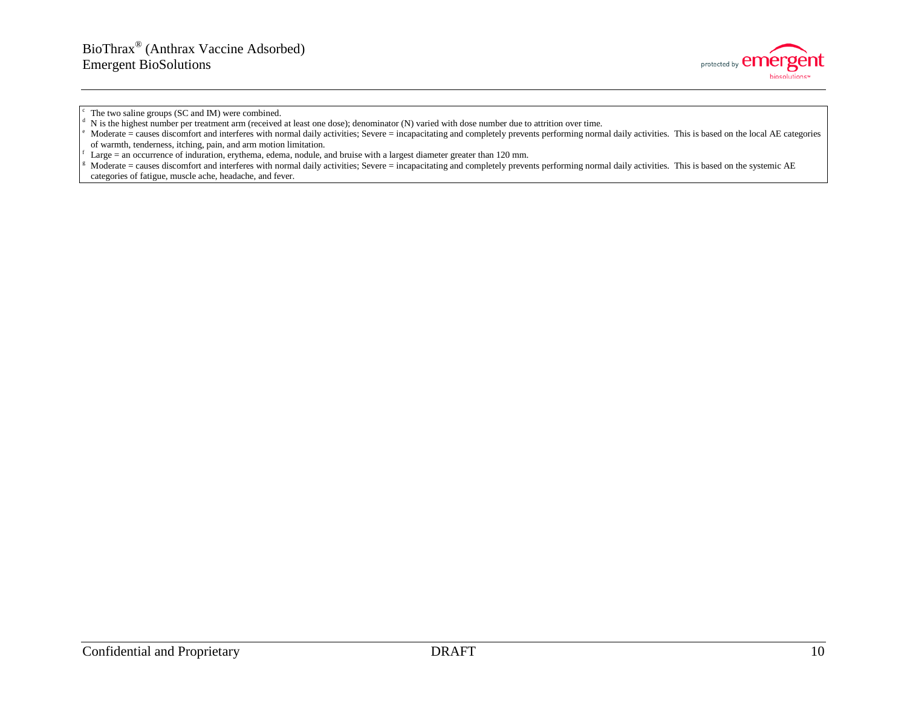

The two saline groups (SC and IM) were combined.<br>N is the highest number per treatment arm (received at least one dose); denominator (N) varied with dose number due to attrition over time.

Moderate = causes discomfort and interferes with normal daily activities; Severe = incapacitating and completely prevents performing normal daily activities. This is based on the systemic AE categories of fatigue, muscle ache, headache, and fever.

Moderate = causes discomfort and interferes with normal daily activities; Severe = incapacitating and completely prevents performing normal daily activities. This is based on the local AE categories of warmth, tenderness, itching, pain, and arm motion limitation.<br>Large = an occurrence of induration, erythema, edema, nodule, and bruise with a largest diameter greater than 120 mm.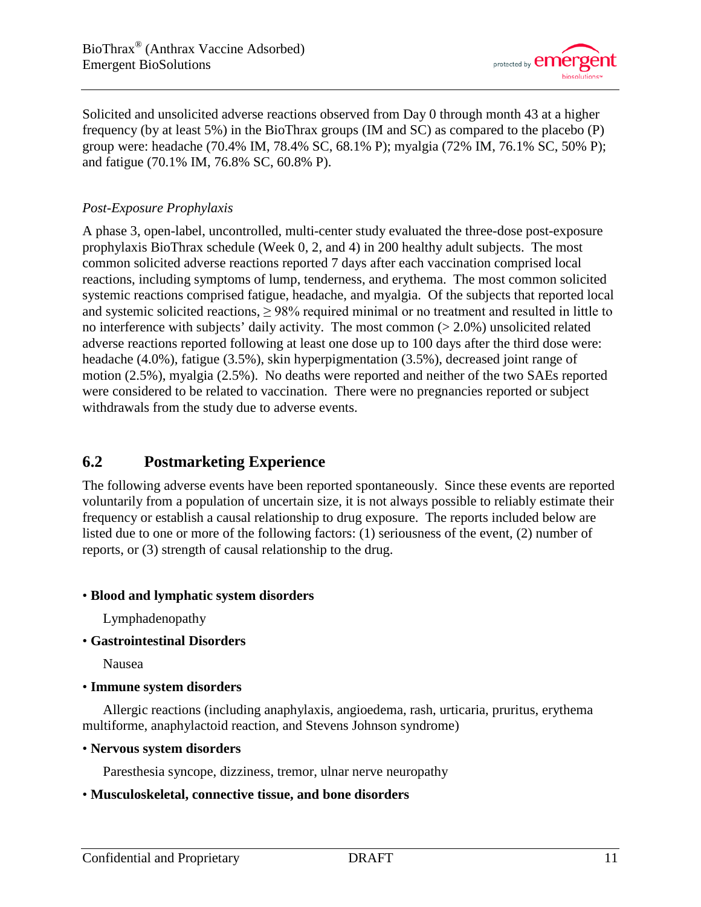

Solicited and unsolicited adverse reactions observed from Day 0 through month 43 at a higher frequency (by at least 5%) in the BioThrax groups (IM and SC) as compared to the placebo (P) group were: headache (70.4% IM, 78.4% SC, 68.1% P); myalgia (72% IM, 76.1% SC, 50% P); and fatigue (70.1% IM, 76.8% SC, 60.8% P).

### *Post-Exposure Prophylaxis*

A phase 3, open-label, uncontrolled, multi-center study evaluated the three-dose post-exposure prophylaxis BioThrax schedule (Week 0, 2, and 4) in 200 healthy adult subjects. The most common solicited adverse reactions reported 7 days after each vaccination comprised local reactions, including symptoms of lump, tenderness, and erythema. The most common solicited systemic reactions comprised fatigue, headache, and myalgia. Of the subjects that reported local and systemic solicited reactions,  $\geq$  98% required minimal or no treatment and resulted in little to no interference with subjects' daily activity. The most common  $(>2.0\%)$  unsolicited related adverse reactions reported following at least one dose up to 100 days after the third dose were: headache (4.0%), fatigue (3.5%), skin hyperpigmentation (3.5%), decreased joint range of motion (2.5%), myalgia (2.5%). No deaths were reported and neither of the two SAEs reported were considered to be related to vaccination. There were no pregnancies reported or subject withdrawals from the study due to adverse events.

# <span id="page-10-0"></span>**6.2 Postmarketing Experience**

The following adverse events have been reported spontaneously. Since these events are reported voluntarily from a population of uncertain size, it is not always possible to reliably estimate their frequency or establish a causal relationship to drug exposure. The reports included below are listed due to one or more of the following factors: (1) seriousness of the event, (2) number of reports, or (3) strength of causal relationship to the drug.

### • **Blood and lymphatic system disorders**

Lymphadenopathy

• **Gastrointestinal Disorders**

Nausea

### • **Immune system disorders**

Allergic reactions (including anaphylaxis, angioedema, rash, urticaria, pruritus, erythema multiforme, anaphylactoid reaction, and Stevens Johnson syndrome)

### • **Nervous system disorders**

Paresthesia syncope, dizziness, tremor, ulnar nerve neuropathy

### • **Musculoskeletal, connective tissue, and bone disorders**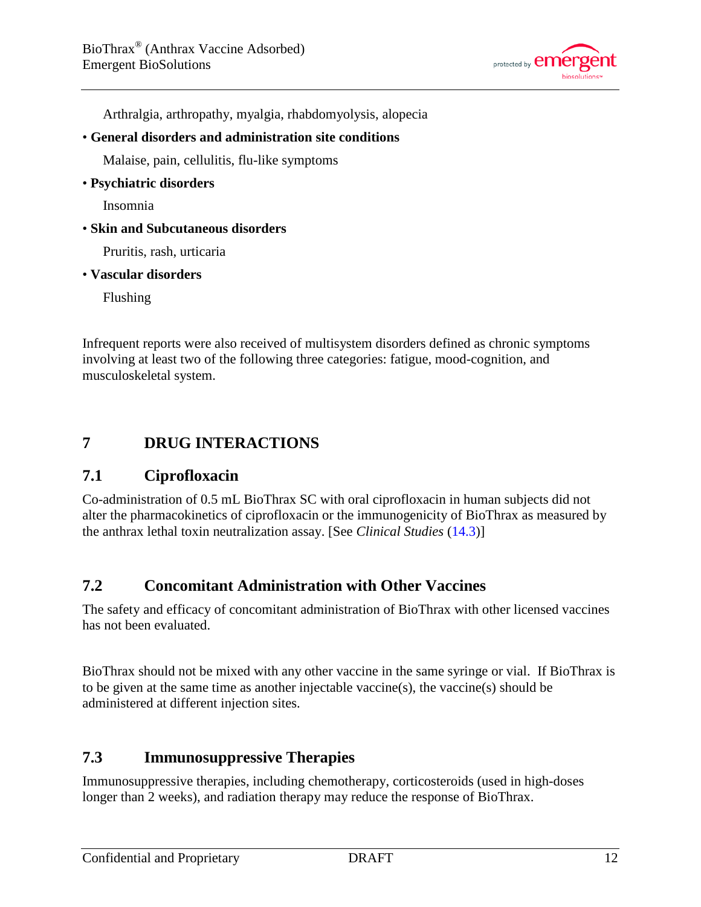

Arthralgia, arthropathy, myalgia, rhabdomyolysis, alopecia

• **General disorders and administration site conditions**

Malaise, pain, cellulitis, flu-like symptoms

• **Psychiatric disorders**

Insomnia

• **Skin and Subcutaneous disorders**

Pruritis, rash, urticaria

• **Vascular disorders**

Flushing

Infrequent reports were also received of multisystem disorders defined as chronic symptoms involving at least two of the following three categories: fatigue, mood-cognition, and musculoskeletal system.

# <span id="page-11-0"></span>**7 DRUG INTERACTIONS**

### <span id="page-11-1"></span>**7.1 Ciprofloxacin**

Co-administration of 0.5 mL BioThrax SC with oral ciprofloxacin in human subjects did not alter the pharmacokinetics of ciprofloxacin or the immunogenicity of BioThrax as measured by the anthrax lethal toxin neutralization assay. [See *Clinical Studies* [\(14.3\)](#page-20-0)]

# <span id="page-11-2"></span>**7.2 Concomitant Administration with Other Vaccines**

The safety and efficacy of concomitant administration of BioThrax with other licensed vaccines has not been evaluated.

BioThrax should not be mixed with any other vaccine in the same syringe or vial. If BioThrax is to be given at the same time as another injectable vaccine(s), the vaccine(s) should be administered at different injection sites.

# <span id="page-11-3"></span>**7.3 Immunosuppressive Therapies**

Immunosuppressive therapies, including chemotherapy, corticosteroids (used in high-doses longer than 2 weeks), and radiation therapy may reduce the response of BioThrax.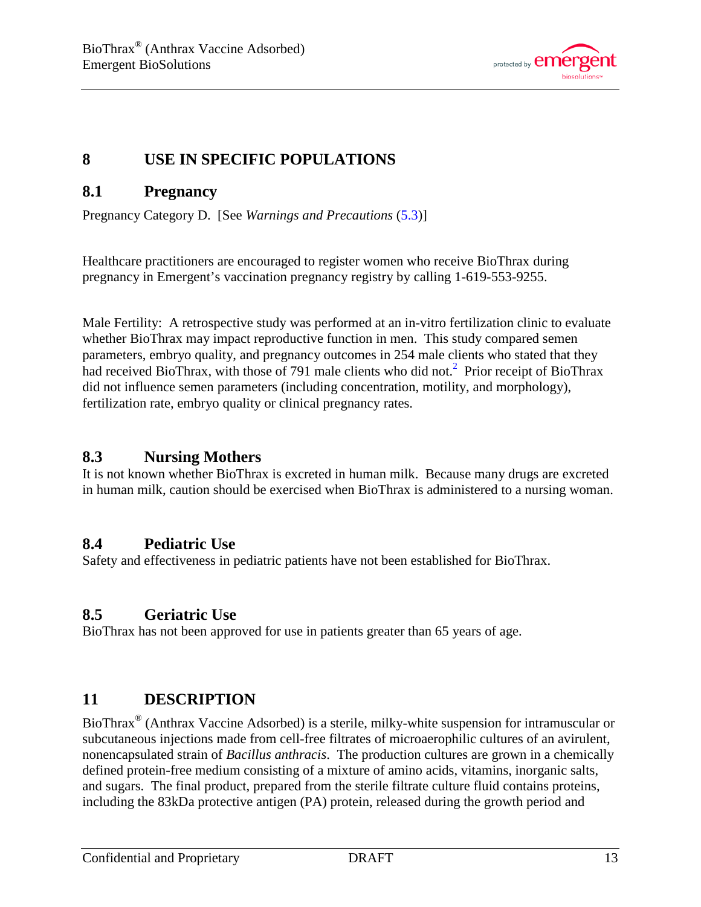

# <span id="page-12-4"></span>**8 USE IN SPECIFIC POPULATIONS**

# <span id="page-12-1"></span>**8.1 Pregnancy**

Pregnancy Category D. [See *Warnings and Precautions* [\(5.3\)](#page-3-1)]

Healthcare practitioners are encouraged to register women who receive BioThrax during pregnancy in Emergent's vaccination pregnancy registry by calling 1-619-553-9255.

Male Fertility: A retrospective study was performed at an in-vitro fertilization clinic to evaluate whether BioThrax may impact reproductive function in men. This study compared semen parameters, embryo quality, and pregnancy outcomes in 254 male clients who stated that they had received BioThrax, with those of 791 male clients who did not.<sup>2</sup> Prior receipt of BioThrax did not influence semen parameters (including concentration, motility, and morphology), fertilization rate, embryo quality or clinical pregnancy rates.

### <span id="page-12-5"></span>**8.3 Nursing Mothers**

It is not known whether BioThrax is excreted in human milk. Because many drugs are excreted in human milk, caution should be exercised when BioThrax is administered to a nursing woman.

# <span id="page-12-2"></span>**8.4 Pediatric Use**

Safety and effectiveness in pediatric patients have not been established for BioThrax.

# <span id="page-12-3"></span>**8.5 Geriatric Use**

BioThrax has not been approved for use in patients greater than 65 years of age.

# <span id="page-12-0"></span>**11 DESCRIPTION**

BioThrax® (Anthrax Vaccine Adsorbed) is a sterile, milky-white suspension for intramuscular or subcutaneous injections made from cell-free filtrates of microaerophilic cultures of an avirulent, nonencapsulated strain of *Bacillus anthracis*. The production cultures are grown in a chemically defined protein-free medium consisting of a mixture of amino acids, vitamins, inorganic salts, and sugars. The final product, prepared from the sterile filtrate culture fluid contains proteins, including the 83kDa protective antigen (PA) protein, released during the growth period and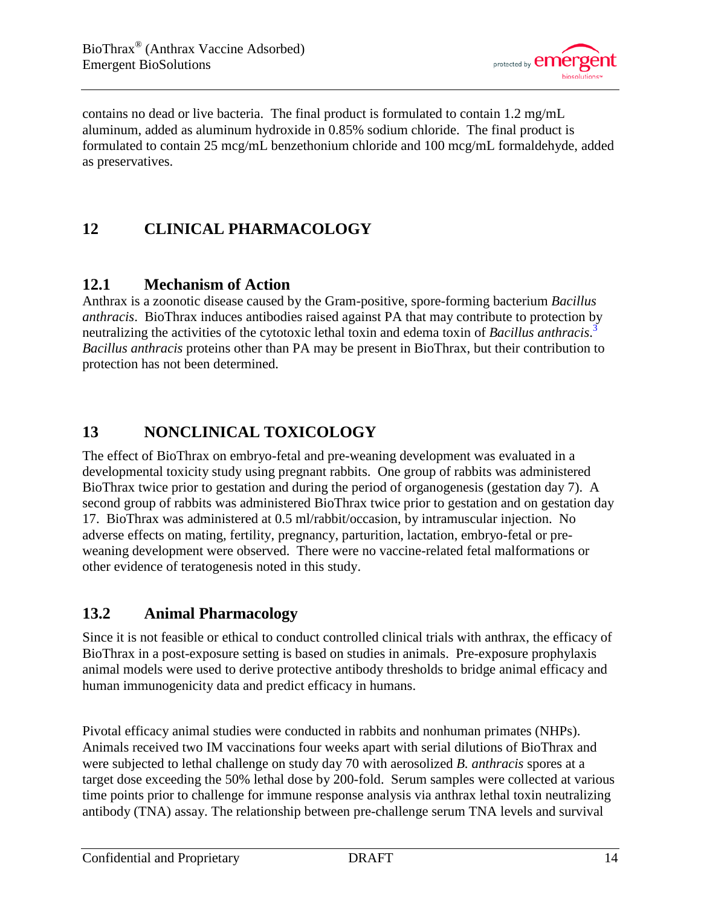

contains no dead or live bacteria. The final product is formulated to contain 1.2 mg/mL aluminum, added as aluminum hydroxide in 0.85% sodium chloride. The final product is formulated to contain 25 mcg/mL benzethonium chloride and 100 mcg/mL formaldehyde, added as preservatives.

# <span id="page-13-0"></span>**12 CLINICAL PHARMACOLOGY**

# <span id="page-13-1"></span>**12.1 Mechanism of Action**

Anthrax is a zoonotic disease caused by the Gram-positive, spore-forming bacterium *Bacillus anthracis*. BioThrax induces antibodies raised against PA that may contribute to protection by neutralizing the activities of the cytotoxic lethal toxin and edema toxin of *Bacillus anthracis*. [3](#page-20-5) *Bacillus anthracis* proteins other than PA may be present in BioThrax, but their contribution to protection has not been determined.

# <span id="page-13-2"></span>**13 NONCLINICAL TOXICOLOGY**

The effect of BioThrax on embryo-fetal and pre-weaning development was evaluated in a developmental toxicity study using pregnant rabbits. One group of rabbits was administered BioThrax twice prior to gestation and during the period of organogenesis (gestation day 7). A second group of rabbits was administered BioThrax twice prior to gestation and on gestation day 17. BioThrax was administered at 0.5 ml/rabbit/occasion, by intramuscular injection. No adverse effects on mating, fertility, pregnancy, parturition, lactation, embryo-fetal or preweaning development were observed. There were no vaccine-related fetal malformations or other evidence of teratogenesis noted in this study.

# <span id="page-13-3"></span>**13.2 Animal Pharmacology**

Since it is not feasible or ethical to conduct controlled clinical trials with anthrax, the efficacy of BioThrax in a post-exposure setting is based on studies in animals. Pre-exposure prophylaxis animal models were used to derive protective antibody thresholds to bridge animal efficacy and human immunogenicity data and predict efficacy in humans.

Pivotal efficacy animal studies were conducted in rabbits and nonhuman primates (NHPs). Animals received two IM vaccinations four weeks apart with serial dilutions of BioThrax and were subjected to lethal challenge on study day 70 with aerosolized *B. anthracis* spores at a target dose exceeding the 50% lethal dose by 200-fold. Serum samples were collected at various time points prior to challenge for immune response analysis via anthrax lethal toxin neutralizing antibody (TNA) assay. The relationship between pre-challenge serum TNA levels and survival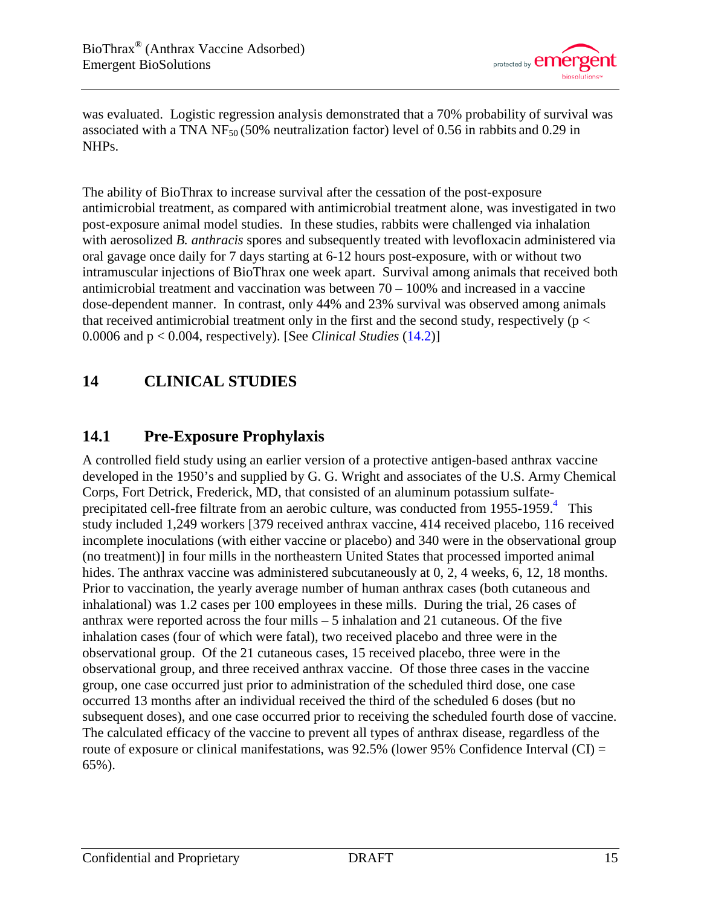

was evaluated. Logistic regression analysis demonstrated that a 70% probability of survival was associated with a TNA NF<sub>50</sub> (50% neutralization factor) level of 0.56 in rabbits and 0.29 in NHPs.

The ability of BioThrax to increase survival after the cessation of the post-exposure antimicrobial treatment, as compared with antimicrobial treatment alone, was investigated in two post-exposure animal model studies. In these studies, rabbits were challenged via inhalation with aerosolized *B. anthracis* spores and subsequently treated with levofloxacin administered via oral gavage once daily for 7 days starting at 6-12 hours post-exposure, with or without two intramuscular injections of BioThrax one week apart. Survival among animals that received both antimicrobial treatment and vaccination was between  $70 - 100\%$  and increased in a vaccine dose-dependent manner. In contrast, only 44% and 23% survival was observed among animals that received antimicrobial treatment only in the first and the second study, respectively ( $p <$ 0.0006 and p < 0.004, respectively). [See *Clinical Studies* [\(14.2\)](#page-19-0)]

# <span id="page-14-0"></span>**14 CLINICAL STUDIES**

# <span id="page-14-1"></span>**14.1 Pre-Exposure Prophylaxis**

A controlled field study using an earlier version of a protective antigen-based anthrax vaccine developed in the 1950's and supplied by G. G. Wright and associates of the U.S. Army Chemical Corps, Fort Detrick, Frederick, MD, that consisted of an aluminum potassium sulfateprecipitated cell-free filtrate from an aerobic culture, was conducted from  $1955$ -1959.<sup>[4](#page-20-6)</sup> This study included 1,249 workers [379 received anthrax vaccine, 414 received placebo, 116 received incomplete inoculations (with either vaccine or placebo) and 340 were in the observational group (no treatment)] in four mills in the northeastern United States that processed imported animal hides. The anthrax vaccine was administered subcutaneously at 0, 2, 4 weeks, 6, 12, 18 months. Prior to vaccination, the yearly average number of human anthrax cases (both cutaneous and inhalational) was 1.2 cases per 100 employees in these mills. During the trial, 26 cases of anthrax were reported across the four mills – 5 inhalation and 21 cutaneous. Of the five inhalation cases (four of which were fatal), two received placebo and three were in the observational group. Of the 21 cutaneous cases, 15 received placebo, three were in the observational group, and three received anthrax vaccine. Of those three cases in the vaccine group, one case occurred just prior to administration of the scheduled third dose, one case occurred 13 months after an individual received the third of the scheduled 6 doses (but no subsequent doses), and one case occurred prior to receiving the scheduled fourth dose of vaccine. The calculated efficacy of the vaccine to prevent all types of anthrax disease, regardless of the route of exposure or clinical manifestations, was  $92.5\%$  (lower  $95\%$  Confidence Interval (CI) = 65%).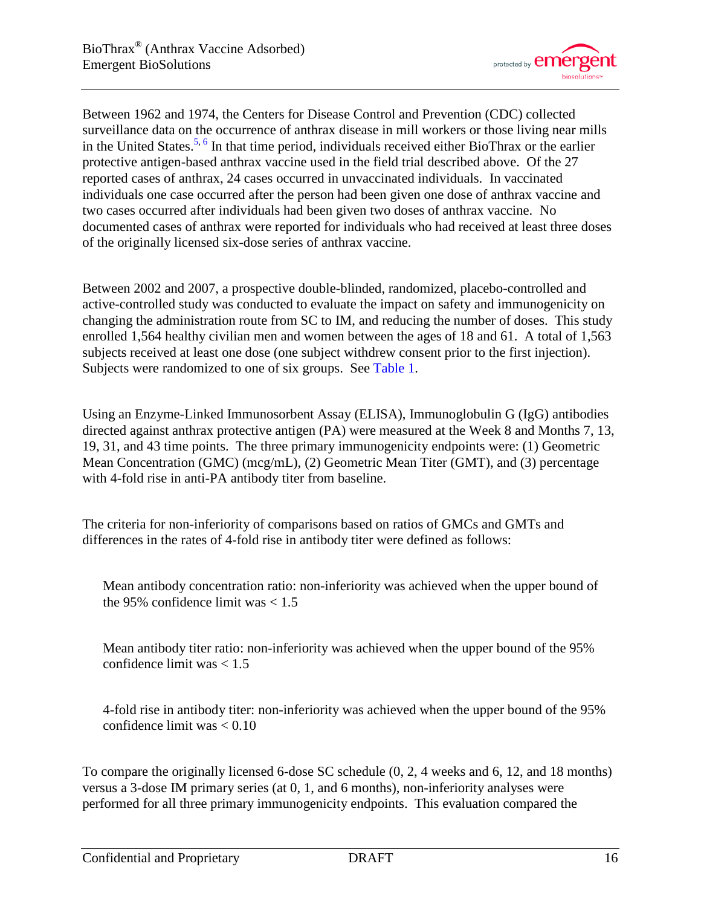

Between 1962 and 1974, the Centers for Disease Control and Prevention (CDC) collected surveillance data on the occurrence of anthrax disease in mill workers or those living near mills in the United States.<sup>[5,](#page-20-7) [6](#page-20-8)</sup> In that time period, individuals received either BioThrax or the earlier protective antigen-based anthrax vaccine used in the field trial described above. Of the 27 reported cases of anthrax, 24 cases occurred in unvaccinated individuals. In vaccinated individuals one case occurred after the person had been given one dose of anthrax vaccine and two cases occurred after individuals had been given two doses of anthrax vaccine. No documented cases of anthrax were reported for individuals who had received at least three doses of the originally licensed six-dose series of anthrax vaccine.

Between 2002 and 2007, a prospective double-blinded, randomized, placebo-controlled and active-controlled study was conducted to evaluate the impact on safety and immunogenicity on changing the administration route from SC to IM, and reducing the number of doses. This study enrolled 1,564 healthy civilian men and women between the ages of 18 and 61. A total of 1,563 subjects received at least one dose (one subject withdrew consent prior to the first injection). Subjects were randomized to one of six groups. See [Table 1.](#page-5-0)

Using an Enzyme-Linked Immunosorbent Assay (ELISA), Immunoglobulin G (IgG) antibodies directed against anthrax protective antigen (PA) were measured at the Week 8 and Months 7, 13, 19, 31, and 43 time points. The three primary immunogenicity endpoints were: (1) Geometric Mean Concentration (GMC) (mcg/mL), (2) Geometric Mean Titer (GMT), and (3) percentage with 4-fold rise in anti-PA antibody titer from baseline.

The criteria for non-inferiority of comparisons based on ratios of GMCs and GMTs and differences in the rates of 4-fold rise in antibody titer were defined as follows:

Mean antibody concentration ratio: non-inferiority was achieved when the upper bound of the 95% confidence limit was  $< 1.5$ 

Mean antibody titer ratio: non-inferiority was achieved when the upper bound of the 95% confidence limit was  $< 1.5$ 

4-fold rise in antibody titer: non-inferiority was achieved when the upper bound of the 95% confidence limit was < 0.10

To compare the originally licensed 6-dose SC schedule (0, 2, 4 weeks and 6, 12, and 18 months) versus a 3-dose IM primary series (at 0, 1, and 6 months), non-inferiority analyses were performed for all three primary immunogenicity endpoints. This evaluation compared the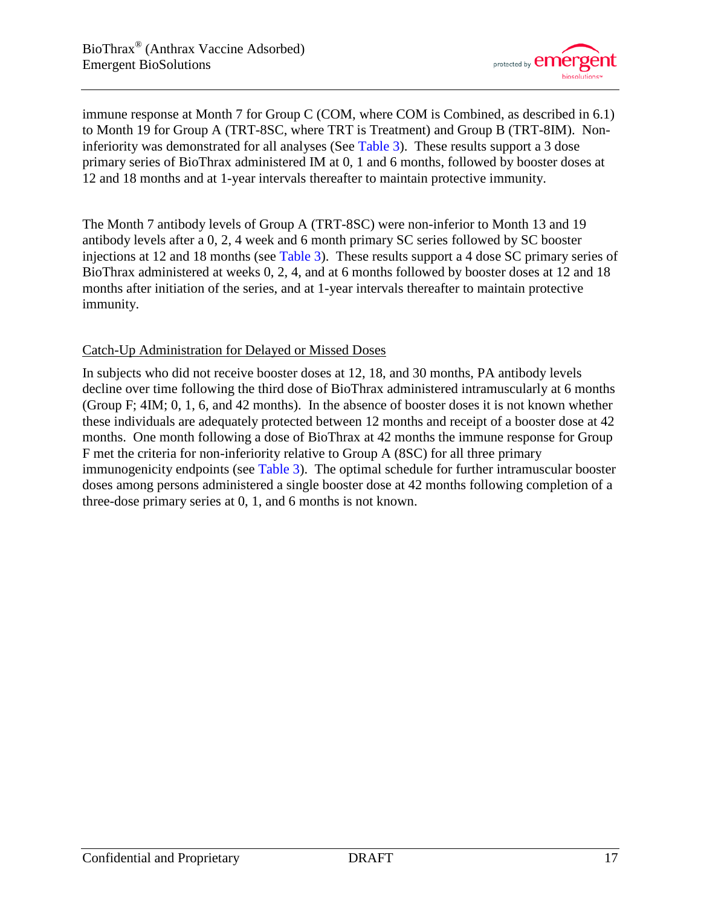

immune response at Month 7 for Group C (COM, where COM is Combined, as described in 6.1) to Month 19 for Group A (TRT-8SC, where TRT is Treatment) and Group B (TRT-8IM). Non-inferiority was demonstrated for all analyses (See [Table 3\)](#page-17-0). These results support a 3 dose primary series of BioThrax administered IM at 0, 1 and 6 months, followed by booster doses at 12 and 18 months and at 1-year intervals thereafter to maintain protective immunity.

The Month 7 antibody levels of Group A (TRT-8SC) were non-inferior to Month 13 and 19 antibody levels after a 0, 2, 4 week and 6 month primary SC series followed by SC booster injections at 12 and 18 months (see [Table 3\)](#page-17-0). These results support a 4 dose SC primary series of BioThrax administered at weeks 0, 2, 4, and at 6 months followed by booster doses at 12 and 18 months after initiation of the series, and at 1-year intervals thereafter to maintain protective immunity.

### Catch-Up Administration for Delayed or Missed Doses

In subjects who did not receive booster doses at 12, 18, and 30 months, PA antibody levels decline over time following the third dose of BioThrax administered intramuscularly at 6 months (Group F; 4IM; 0, 1, 6, and 42 months). In the absence of booster doses it is not known whether these individuals are adequately protected between 12 months and receipt of a booster dose at 42 months. One month following a dose of BioThrax at 42 months the immune response for Group F met the criteria for non-inferiority relative to Group A (8SC) for all three primary immunogenicity endpoints (see [Table 3\)](#page-17-0). The optimal schedule for further intramuscular booster doses among persons administered a single booster dose at 42 months following completion of a three-dose primary series at 0, 1, and 6 months is not known.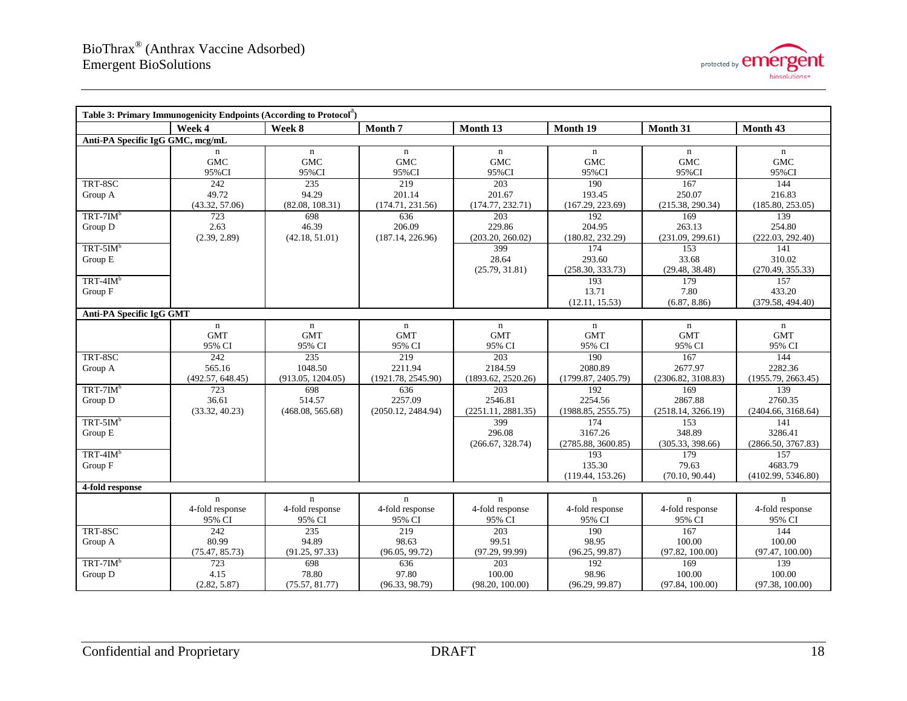

<span id="page-17-0"></span>

| Table 3: Primary Immunogenicity Endpoints (According to Protocol <sup>"</sup> ) |                                          |                                          |                                          |                                          |                                          |                                          |                                          |  |  |  |  |  |  |  |
|---------------------------------------------------------------------------------|------------------------------------------|------------------------------------------|------------------------------------------|------------------------------------------|------------------------------------------|------------------------------------------|------------------------------------------|--|--|--|--|--|--|--|
|                                                                                 | Week 4                                   | Week 8                                   | Month 7                                  | Month 13                                 | Month 19                                 | Month 31                                 | Month 43                                 |  |  |  |  |  |  |  |
| Anti-PA Specific IgG GMC, mcg/mL                                                |                                          |                                          |                                          |                                          |                                          |                                          |                                          |  |  |  |  |  |  |  |
|                                                                                 | n<br><b>GMC</b><br>95%CI                 | $\mathbf n$<br><b>GMC</b><br>95%CI       | n<br><b>GMC</b><br>95%CI                 | $\mathbf n$<br><b>GMC</b><br>95%CI       | $\mathbf n$<br><b>GMC</b><br>95%CI       | $\mathbf n$<br><b>GMC</b><br>95%CI       | $\mathbf n$<br><b>GMC</b><br>95%CI       |  |  |  |  |  |  |  |
| TRT-8SC<br>Group A                                                              | 242<br>49.72<br>(43.32, 57.06)           | 235<br>94.29<br>(82.08, 108.31)          | 219<br>201.14<br>(174.71, 231.56)        | 203<br>201.67<br>(174.77, 232.71)        | 190<br>193.45<br>(167.29, 223.69)        | 167<br>250.07<br>(215.38, 290.34)        | 144<br>216.83<br>(185.80, 253.05)        |  |  |  |  |  |  |  |
| $TRT-7IM^b$<br>Group D                                                          | 723<br>2.63<br>(2.39, 2.89)              | 698<br>46.39<br>(42.18, 51.01)           | 636<br>206.09<br>(187.14, 226.96)        | 203<br>229.86<br>(203.20, 260.02)        | 192<br>204.95<br>(180.82, 232.29)        | 169<br>263.13<br>(231.09, 299.61)        | 139<br>254.80<br>(222.03, 292.40)        |  |  |  |  |  |  |  |
| $TRT-5IM^b$<br>Group E                                                          |                                          |                                          |                                          | 399<br>28.64<br>(25.79, 31.81)           | 174<br>293.60<br>(258.30, 333.73)        | 153<br>33.68<br>(29.48, 38.48)           | 141<br>310.02<br>(270.49, 355.33)        |  |  |  |  |  |  |  |
| $TRT-4IMb$<br>Group F                                                           |                                          |                                          |                                          |                                          | 193<br>13.71<br>(12.11, 15.53)           | 179<br>7.80<br>(6.87, 8.86)              | 157<br>433.20<br>(379.58, 494.40)        |  |  |  |  |  |  |  |
|                                                                                 | Anti-PA Specific IgG GMT                 |                                          |                                          |                                          |                                          |                                          |                                          |  |  |  |  |  |  |  |
|                                                                                 | $\mathbf n$<br><b>GMT</b><br>95% CI      | $\mathbf n$<br><b>GMT</b><br>95% CI      | $\mathbf n$<br><b>GMT</b><br>95% CI      | $\mathbf n$<br><b>GMT</b><br>95% CI      | $\mathbf n$<br><b>GMT</b><br>95% CI      | $\mathbf n$<br><b>GMT</b><br>95% CI      | $\mathbf n$<br><b>GMT</b><br>95% CI      |  |  |  |  |  |  |  |
| TRT-8SC<br>Group A                                                              | 242<br>565.16<br>(492.57, 648.45)        | 235<br>1048.50<br>(913.05, 1204.05)      | 219<br>2211.94<br>(1921.78, 2545.90)     | 203<br>2184.59<br>(1893.62, 2520.26)     | 190<br>2080.89<br>(1799.87, 2405.79)     | 167<br>2677.97<br>(2306.82, 3108.83)     | 144<br>2282.36<br>(1955.79, 2663.45)     |  |  |  |  |  |  |  |
| $TRT-7IM^b$<br>Group D                                                          | 723<br>36.61<br>(33.32, 40.23)           | 698<br>514.57<br>(468.08, 565.68)        | 636<br>2257.09<br>(2050.12, 2484.94)     | 203<br>2546.81<br>(2251.11, 2881.35)     | 192<br>2254.56<br>(1988.85, 2555.75)     | 169<br>2867.88<br>(2518.14, 3266.19)     | 139<br>2760.35<br>(2404.66, 3168.64)     |  |  |  |  |  |  |  |
| $TRT-5IM^b$<br>Group E                                                          |                                          |                                          |                                          | 399<br>296.08<br>(266.67, 328.74)        | 174<br>3167.26<br>(2785.88, 3600.85)     | 153<br>348.89<br>(305.33, 398.66)        | 141<br>3286.41<br>(2866.50, 3767.83)     |  |  |  |  |  |  |  |
| $TRT-4IM^b$<br>Group F                                                          |                                          |                                          |                                          |                                          | 193<br>135.30<br>(119.44, 153.26)        | 179<br>79.63<br>(70.10, 90.44)           | 157<br>4683.79<br>(4102.99, 5346.80)     |  |  |  |  |  |  |  |
| 4-fold response                                                                 |                                          |                                          |                                          |                                          |                                          |                                          |                                          |  |  |  |  |  |  |  |
|                                                                                 | $\mathbf n$<br>4-fold response<br>95% CI | $\mathbf n$<br>4-fold response<br>95% CI | $\mathbf n$<br>4-fold response<br>95% CI | $\mathbf n$<br>4-fold response<br>95% CI | $\mathbf n$<br>4-fold response<br>95% CI | $\mathbf n$<br>4-fold response<br>95% CI | $\mathbf n$<br>4-fold response<br>95% CI |  |  |  |  |  |  |  |
| TRT-8SC<br>Group A                                                              | 242<br>80.99<br>(75.47, 85.73)           | 235<br>94.89<br>(91.25, 97.33)           | 219<br>98.63<br>(96.05, 99.72)           | 203<br>99.51<br>(97.29, 99.99)           | 190<br>98.95<br>(96.25, 99.87)           | 167<br>100.00<br>(97.82, 100.00)         | 144<br>100.00<br>(97.47, 100.00)         |  |  |  |  |  |  |  |
| $TRT-7IM^b$<br>Group D                                                          | 723<br>4.15<br>(2.82, 5.87)              | 698<br>78.80<br>(75.57, 81.77)           | 636<br>97.80<br>(96.33, 98.79)           | 203<br>100.00<br>(98.20, 100.00)         | 192<br>98.96<br>(96.29, 99.87)           | 169<br>100.00<br>(97.84, 100.00)         | 139<br>100.00<br>(97.38, 100.00)         |  |  |  |  |  |  |  |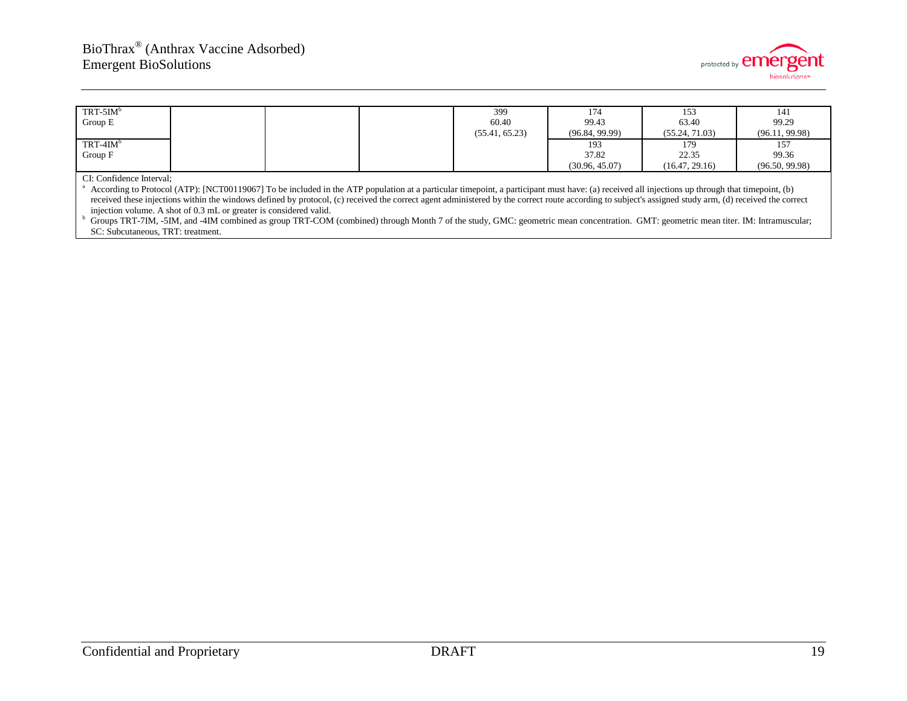

| $TRT-5IM^b$ |  | 399            | 174            | 153            | 141            |
|-------------|--|----------------|----------------|----------------|----------------|
| Group E     |  | 60.40          | 99.43          | 63.40          | 99.29          |
|             |  | (55.41, 65.23) | (96.84, 99.99) | (55.24, 71.03) | (96.11, 99.98) |
| $TRT-4IM^b$ |  |                | 193            | 179            | 157            |
| Group F     |  |                | 37.82          | 22.35          | 99.36          |
|             |  |                | (30.96, 45.07) | (16.47, 29.16) | (96.50, 99.98) |

#### CI: Confidence Interval;

<sup>a</sup> According to Protocol (ATP): [NCT00119067] To be included in the ATP population at a particular timepoint, a participant must have: (a) received all injections up through that timepoint, (b) received these injections within the windows defined by protocol, (c) received the correct agent administered by the correct route according to subject's assigned study arm, (d) received the correct injection volume. A sho

Groups TRT-7IM, -5IM, and -4IM combined as group TRT-COM (combined) through Month 7 of the study, GMC: geometric mean concentration. GMT: geometric mean titer. IM: Intramuscular; SC: Subcutaneous, TRT: treatment.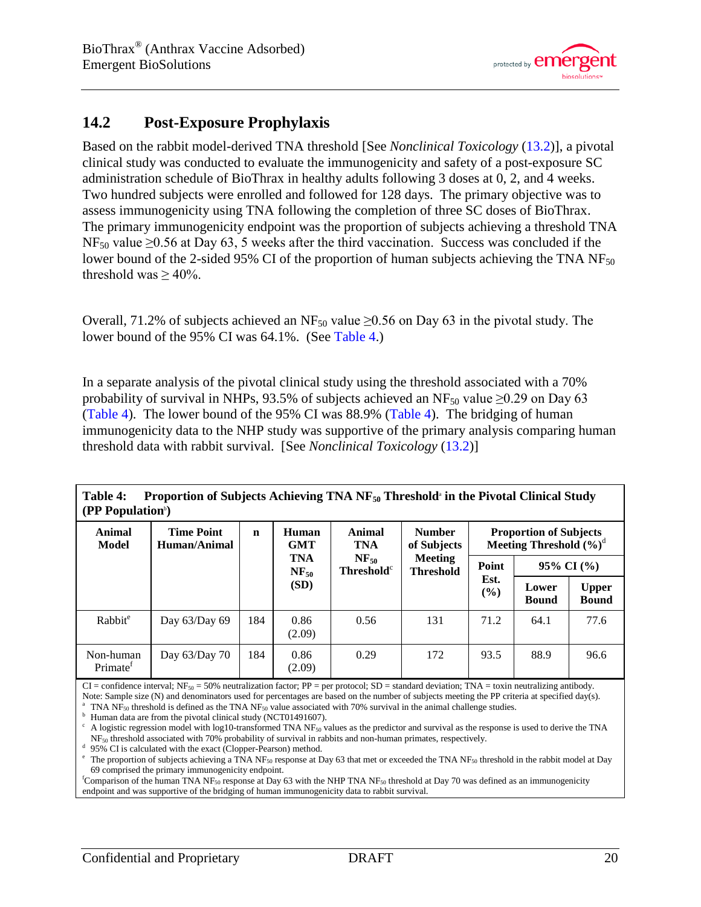

# <span id="page-19-0"></span>**14.2 Post-Exposure Prophylaxis**

Based on the rabbit model-derived TNA threshold [See *Nonclinical Toxicology* [\(13.2\)](#page-13-3)], a pivotal clinical study was conducted to evaluate the immunogenicity and safety of a post-exposure SC administration schedule of BioThrax in healthy adults following 3 doses at 0, 2, and 4 weeks. Two hundred subjects were enrolled and followed for 128 days. The primary objective was to assess immunogenicity using TNA following the completion of three SC doses of BioThrax. The primary immunogenicity endpoint was the proportion of subjects achieving a threshold TNA  $NF_{50}$  value  $\geq 0.56$  at Day 63, 5 weeks after the third vaccination. Success was concluded if the lower bound of the 2-sided 95% CI of the proportion of human subjects achieving the TNA  $NF_{50}$ threshold was  $\geq 40\%$ .

Overall, 71.2% of subjects achieved an NF<sub>50</sub> value  $\geq$ 0.56 on Day 63 in the pivotal study. The lower bound of the 95% CI was 64.1%. (See [Table 4.](#page-19-1))

In a separate analysis of the pivotal clinical study using the threshold associated with a 70% probability of survival in NHPs, 93.5% of subjects achieved an NF<sub>50</sub> value  $\geq$ 0.29 on Day 63 [\(Table 4\)](#page-19-1). The lower bound of the 95% CI was 88.9% [\(Table 4\)](#page-19-1). The bridging of human immunogenicity data to the NHP study was supportive of the primary analysis comparing human threshold data with rabbit survival. [See *Nonclinical Toxicology* [\(13.2\)](#page-13-3)]

<span id="page-19-1"></span>**Table 4: Proportion of Subjects Achieving TNA NF50 Threshold**<sup>a</sup> **in the Pivotal Clinical Study (PP Population**<sup>b</sup> **)**

| Animal<br>Model                   | <b>Time Point</b><br>Human/Animal | $\mathbf n$ | Human<br><b>GMT</b>     | Animal<br><b>TNA</b>                                    | <b>Number</b><br>of Subjects       | <b>Proportion of Subjects</b><br>Meeting Threshold $(\%)^d$ |                       |                              |  |  |
|-----------------------------------|-----------------------------------|-------------|-------------------------|---------------------------------------------------------|------------------------------------|-------------------------------------------------------------|-----------------------|------------------------------|--|--|
|                                   |                                   |             | <b>TNA</b><br>$NF_{50}$ | $NF_{50}$<br><b>Threshold</b> <sup><math>c</math></sup> | <b>Meeting</b><br><b>Threshold</b> | Point                                                       | $95\%$ CI $(\%$       |                              |  |  |
|                                   |                                   |             | (SD)                    |                                                         |                                    | Est.<br>$(\%)$                                              | Lower<br><b>Bound</b> | <b>Upper</b><br><b>Bound</b> |  |  |
| Rabbit <sup>e</sup>               | Day 63/Day 69                     | 184         | 0.86<br>(2.09)          | 0.56                                                    | 131                                | 71.2                                                        | 64.1                  | 77.6                         |  |  |
| Non-human<br>Primate <sup>f</sup> | Day $63/Day 70$                   | 184         | 0.86<br>(2.09)          | 0.29                                                    | 172                                | 93.5                                                        | 88.9                  | 96.6                         |  |  |

 $CI =$  confidence interval; NF<sub>50</sub> = 50% neutralization factor; PP = per protocol; SD = standard deviation; TNA = toxin neutralizing antibody. Note: Sample size (N) and denominators used for percentages are based on the number of subjects meeting the PP criteria at specified day(s).

<sup>a</sup> TNA NF<sub>50</sub> threshold is defined as the TNA NF<sub>50</sub> value associated with 70% survival in the animal challenge studies.<br><sup>b</sup> Human data are from the pivotal clinical study (NCT01491607).<br><sup>c</sup> A logistic regression model w

<sup>d</sup> 95% CI is calculated with the exact (Clopper-Pearson) method.<br><sup>e</sup> The proportion of subjects achieving a TNA NF<sub>50</sub> response at Day 63 that met or exceeded the TNA NF<sub>50</sub> threshold in the rabbit model at Day 69 comprised the primary immunogenicity endpoint.

<sup>f</sup>Comparison of the human TNA NF<sub>50</sub> response at Day 63 with the NHP TNA NF<sub>50</sub> threshold at Day 70 was defined as an immunogenicity endpoint and was supportive of the bridging of human immunogenicity data to rabbit survival.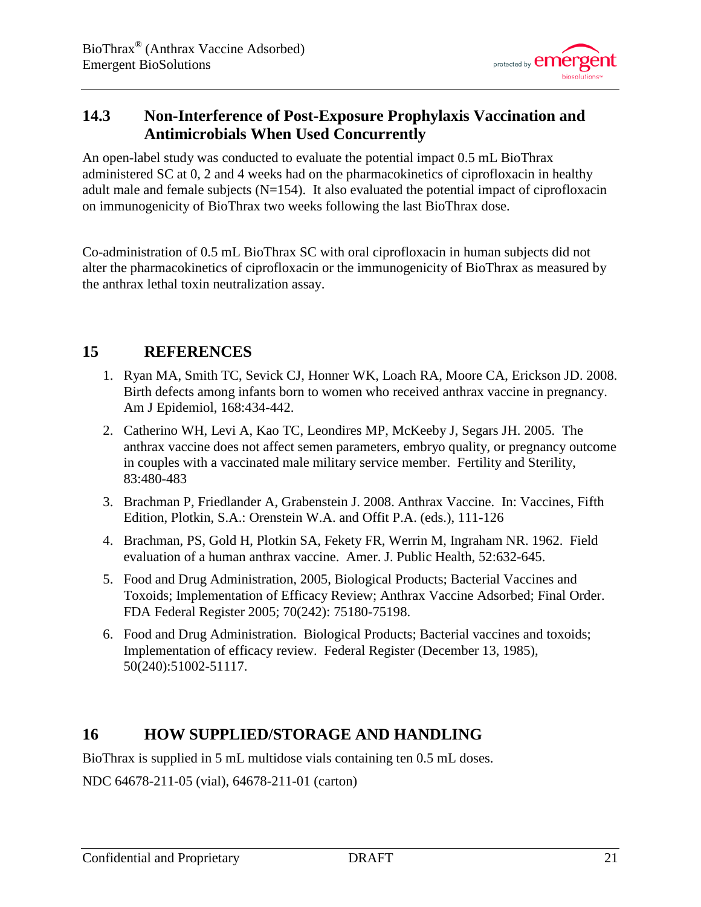

# <span id="page-20-0"></span>**14.3 Non-Interference of Post-Exposure Prophylaxis Vaccination and Antimicrobials When Used Concurrently**

An open-label study was conducted to evaluate the potential impact 0.5 mL BioThrax administered SC at 0, 2 and 4 weeks had on the pharmacokinetics of ciprofloxacin in healthy adult male and female subjects  $(N=154)$ . It also evaluated the potential impact of ciprofloxacin on immunogenicity of BioThrax two weeks following the last BioThrax dose.

Co-administration of 0.5 mL BioThrax SC with oral ciprofloxacin in human subjects did not alter the pharmacokinetics of ciprofloxacin or the immunogenicity of BioThrax as measured by the anthrax lethal toxin neutralization assay.

# <span id="page-20-1"></span>**15 REFERENCES**

- <span id="page-20-3"></span>1. Ryan MA, Smith TC, Sevick CJ, Honner WK, Loach RA, Moore CA, Erickson JD. 2008. Birth defects among infants born to women who received anthrax vaccine in pregnancy. Am J Epidemiol, 168:434-442.
- <span id="page-20-4"></span>2. Catherino WH, Levi A, Kao TC, Leondires MP, McKeeby J, Segars JH. 2005. The anthrax vaccine does not affect semen parameters, embryo quality, or pregnancy outcome in couples with a vaccinated male military service member. Fertility and Sterility, 83:480-483
- <span id="page-20-5"></span>3. Brachman P, Friedlander A, Grabenstein J. 2008. Anthrax Vaccine. In: Vaccines, Fifth Edition, Plotkin, S.A.: Orenstein W.A. and Offit P.A. (eds.), 111-126
- <span id="page-20-6"></span>4. Brachman, PS, Gold H, Plotkin SA, Fekety FR, Werrin M, Ingraham NR. 1962. Field evaluation of a human anthrax vaccine. Amer. J. Public Health, 52:632-645.
- <span id="page-20-7"></span>5. Food and Drug Administration, 2005, Biological Products; Bacterial Vaccines and Toxoids; Implementation of Efficacy Review; Anthrax Vaccine Adsorbed; Final Order. FDA Federal Register 2005; 70(242): 75180-75198.
- <span id="page-20-8"></span>6. Food and Drug Administration. Biological Products; Bacterial vaccines and toxoids; Implementation of efficacy review. Federal Register (December 13, 1985), 50(240):51002-51117.

# <span id="page-20-2"></span>**16 HOW SUPPLIED/STORAGE AND HANDLING**

BioThrax is supplied in 5 mL multidose vials containing ten 0.5 mL doses.

NDC 64678-211-05 (vial), 64678-211-01 (carton)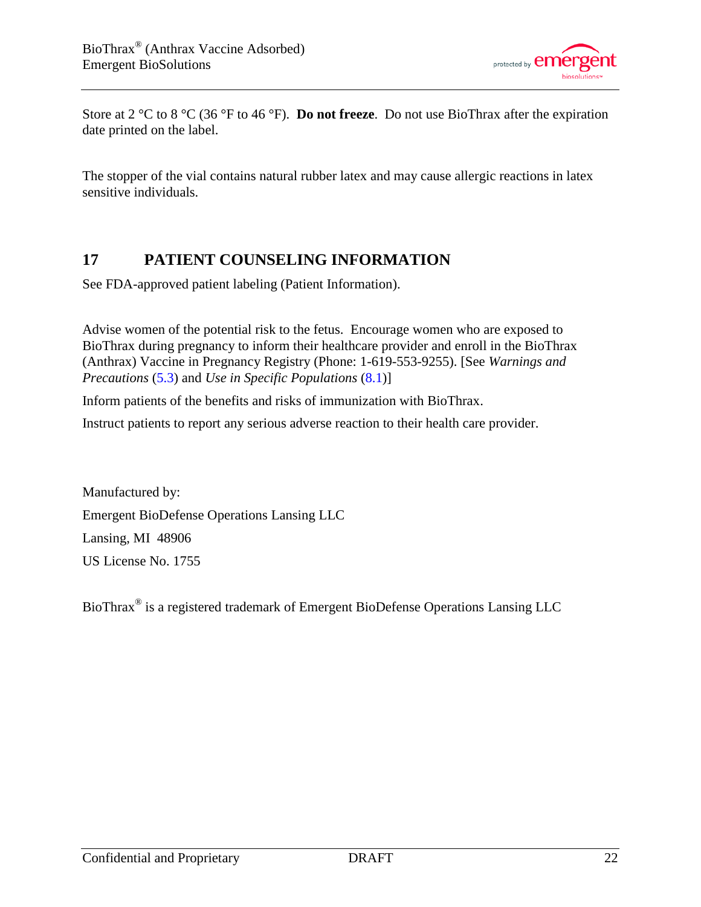

Store at 2 °C to 8 °C (36 °F to 46 °F). **Do not freeze**. Do not use BioThrax after the expiration date printed on the label.

The stopper of the vial contains natural rubber latex and may cause allergic reactions in latex sensitive individuals.

# <span id="page-21-0"></span>**17 PATIENT COUNSELING INFORMATION**

See FDA-approved patient labeling (Patient Information).

Advise women of the potential risk to the fetus. Encourage women who are exposed to BioThrax during pregnancy to inform their healthcare provider and enroll in the BioThrax (Anthrax) Vaccine in Pregnancy Registry (Phone: 1-619-553-9255). [See *Warnings and Precautions* [\(5.3\)](#page-3-1) and *Use in Specific Populations* [\(8.1\)](#page-12-1)]

Inform patients of the benefits and risks of immunization with BioThrax.

Instruct patients to report any serious adverse reaction to their health care provider.

Manufactured by: Emergent BioDefense Operations Lansing LLC Lansing, MI 48906 US License No. 1755

BioThrax® is a registered trademark of Emergent BioDefense Operations Lansing LLC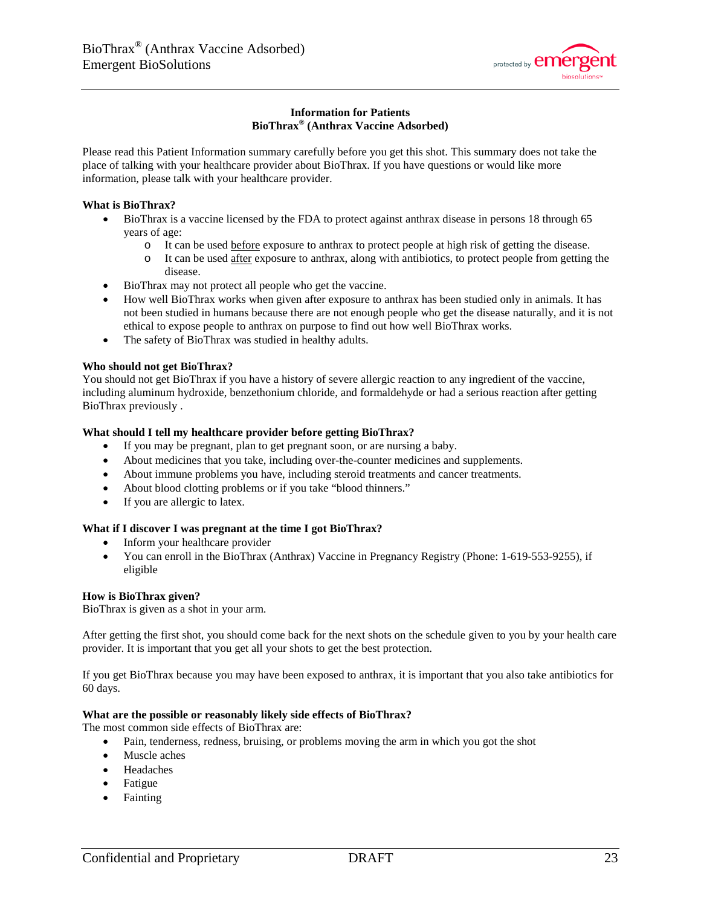

### **Information for Patients BioThrax® (Anthrax Vaccine Adsorbed)**

Please read this Patient Information summary carefully before you get this shot. This summary does not take the place of talking with your healthcare provider about BioThrax. If you have questions or would like more information, please talk with your healthcare provider.

### **What is BioThrax?**

- BioThrax is a vaccine licensed by the FDA to protect against anthrax disease in persons 18 through 65 years of age:
	- o It can be used before exposure to anthrax to protect people at high risk of getting the disease.
	- o It can be used after exposure to anthrax, along with antibiotics, to protect people from getting the disease.
- BioThrax may not protect all people who get the vaccine.
- How well BioThrax works when given after exposure to anthrax has been studied only in animals. It has not been studied in humans because there are not enough people who get the disease naturally, and it is not ethical to expose people to anthrax on purpose to find out how well BioThrax works.
- The safety of BioThrax was studied in healthy adults.

### **Who should not get BioThrax?**

You should not get BioThrax if you have a history of severe allergic reaction to any ingredient of the vaccine, including aluminum hydroxide, benzethonium chloride, and formaldehyde or had a serious reaction after getting BioThrax previously .

### **What should I tell my healthcare provider before getting BioThrax?**

- If you may be pregnant, plan to get pregnant soon, or are nursing a baby.
- About medicines that you take, including over-the-counter medicines and supplements.
- About immune problems you have, including steroid treatments and cancer treatments.
- About blood clotting problems or if you take "blood thinners."
- If you are allergic to latex.

### **What if I discover I was pregnant at the time I got BioThrax?**

- Inform your healthcare provider
- You can enroll in the BioThrax (Anthrax) Vaccine in Pregnancy Registry (Phone: 1-619-553-9255), if eligible

### **How is BioThrax given?**

BioThrax is given as a shot in your arm.

After getting the first shot, you should come back for the next shots on the schedule given to you by your health care provider. It is important that you get all your shots to get the best protection.

If you get BioThrax because you may have been exposed to anthrax, it is important that you also take antibiotics for 60 days.

### **What are the possible or reasonably likely side effects of BioThrax?**

The most common side effects of BioThrax are:

- Pain, tenderness, redness, bruising, or problems moving the arm in which you got the shot
- Muscle aches
- Headaches
- Fatigue
- Fainting